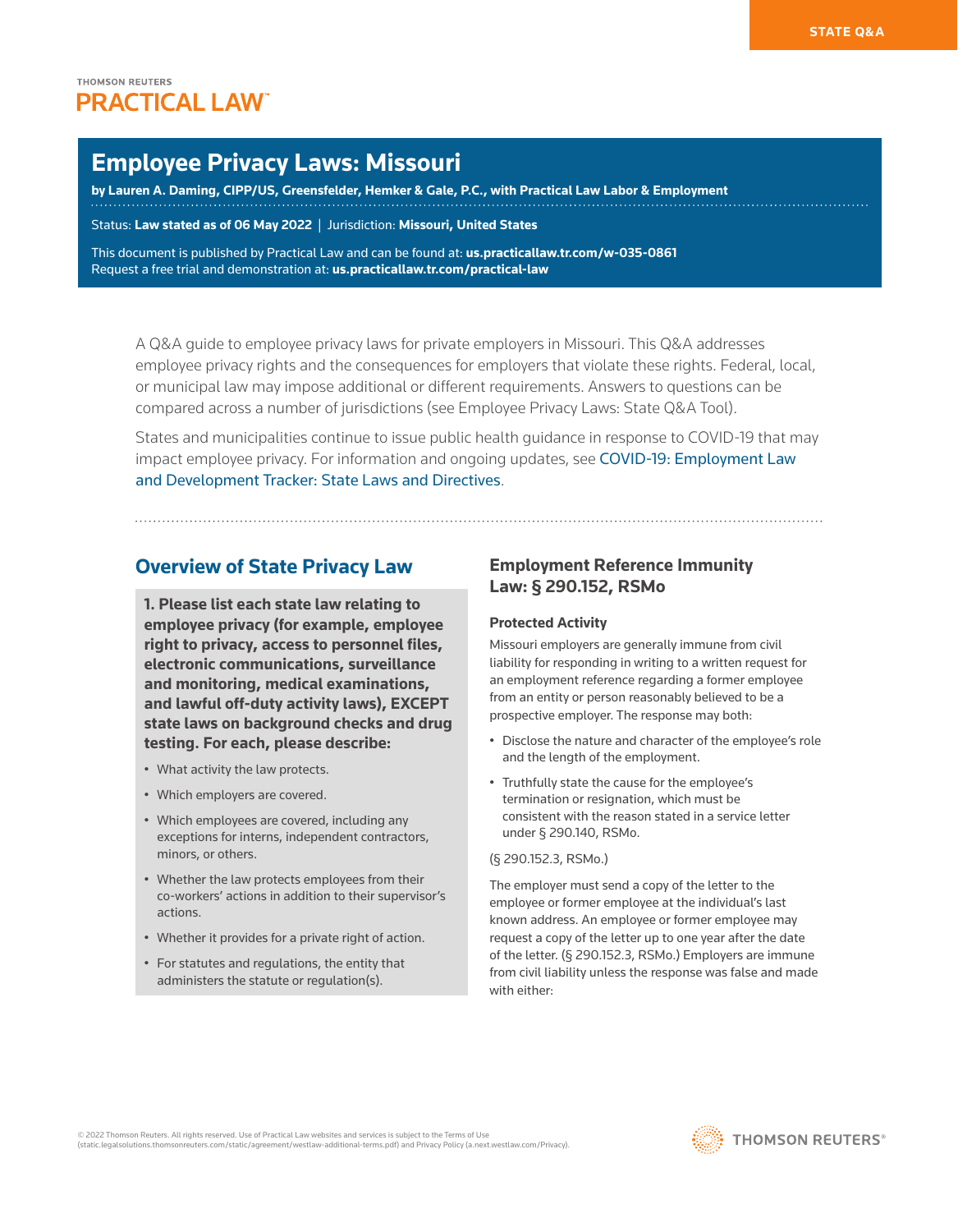# **Employee Privacy Laws: Missouri**

**by [Lauren A. Daming](https://www.greensfelder.com/professionals-Lauren-Daming.html), CIPP/US, Greensfelder, Hemker & Gale, P.C., with Practical Law Labor & Employment**

Status: **Law stated as of 06 May 2022** | Jurisdiction: **Missouri, United States**

This document is published by Practical Law and can be found at[:](http://us.practicallaw.tr.com/W-028-4180) **[us.practicallaw.tr.com/w-035-0861](http://us.practicallaw.tr.com/w-035-0861)** Request a free trial and demonstration at: **[us.practicallaw.tr.com/practical-law](https://legal.thomsonreuters.com/en-us/products/practical-law/trial-overview
)**

A Q&A guide to employee privacy laws for private employers in Missouri. This Q&A addresses employee privacy rights and the consequences for employers that violate these rights. Federal, local, or municipal law may impose additional or different requirements. Answers to questions can be compared across a number of jurisdictions (see [Employee Privacy Laws: State Q&A Tool\)](http://www.westlaw.com/QACompare/Builder/State?topicGuidReferrer=I57804690549211e498db8b09b4f043e0&originationContext=document&vr=3.0&rs=cblt1.0&transitionType=PLDocumentLink&contextData=(sc.Default)#/topics/Employee Privacy Laws).

States and municipalities continue to issue public health guidance in response to COVID-19 that may impact employee privacy. For information and ongoing updates, see [COVID-19: Employment Law](http://us.practicallaw.tr.com/W-024-5500)  [and Development Tracker: State Laws and Directives](http://us.practicallaw.tr.com/W-024-5500).

# **Overview of State Privacy Law**

**1. Please list each state law relating to employee privacy (for example, employee right to privacy, access to personnel files, electronic communications, surveillance and monitoring, medical examinations, and lawful off-duty activity laws), EXCEPT state laws on background checks and drug testing. For each, please describe:**

- What activity the law protects.
- Which employers are covered.
- Which employees are covered, including any exceptions for interns, independent contractors, minors, or others.
- Whether the law protects employees from their co-workers' actions in addition to their supervisor's actions.
- Whether it provides for a private right of action.
- For statutes and regulations, the entity that administers the statute or regulation(s).

# **Employment Reference Immunity Law: § 290.152, RSMo**

### **Protected Activity**

Missouri employers are generally immune from civil liability for responding in writing to a written request for an employment reference regarding a former employee from an entity or person reasonably believed to be a prospective employer. The response may both:

- Disclose the nature and character of the employee's role and the length of the employment.
- Truthfully state the cause for the employee's termination or resignation, which must be consistent with the reason stated in a service letter under [§ 290.140, RSMo](http://www.westlaw.com/Link/Document/FullText?findType=L&pubNum=1000229&cite=MOST290.140&originatingDoc=I907246edb1ce11ec9f24ec7b211d8087&refType=LQ&originationContext=document&vr=3.0&rs=cblt1.0&transitionType=PLDocumentLink&billingHash=4310846A790545EC30246ABDEE378370413192F67ED8D58A934CD31EAFFBDFBB&contextData=(sc.Default)).

### [\(§ 290.152.3, RSMo.](http://www.westlaw.com/Link/Document/FullText?findType=L&pubNum=1000229&cite=MOST290.152&originatingDoc=I907246edb1ce11ec9f24ec7b211d8087&refType=LQ&originationContext=document&vr=3.0&rs=cblt1.0&transitionType=PLDocumentLink&billingHash=09898F40EE3342C798FCA78A5794E1CFD756128AA9D7AB3B5FFED4FA7F9A2447&contextData=(sc.Default)))

The employer must send a copy of the letter to the employee or former employee at the individual's last known address. An employee or former employee may request a copy of the letter up to one year after the date of the letter. [\(§ 290.152.3, RSMo.](http://www.westlaw.com/Link/Document/FullText?findType=L&pubNum=1000229&cite=MOST290.152&originatingDoc=I907246edb1ce11ec9f24ec7b211d8087&refType=LQ&originationContext=document&vr=3.0&rs=cblt1.0&transitionType=PLDocumentLink&billingHash=09898F40EE3342C798FCA78A5794E1CFD756128AA9D7AB3B5FFED4FA7F9A2447&contextData=(sc.Default))) Employers are immune from civil liability unless the response was false and made with either.

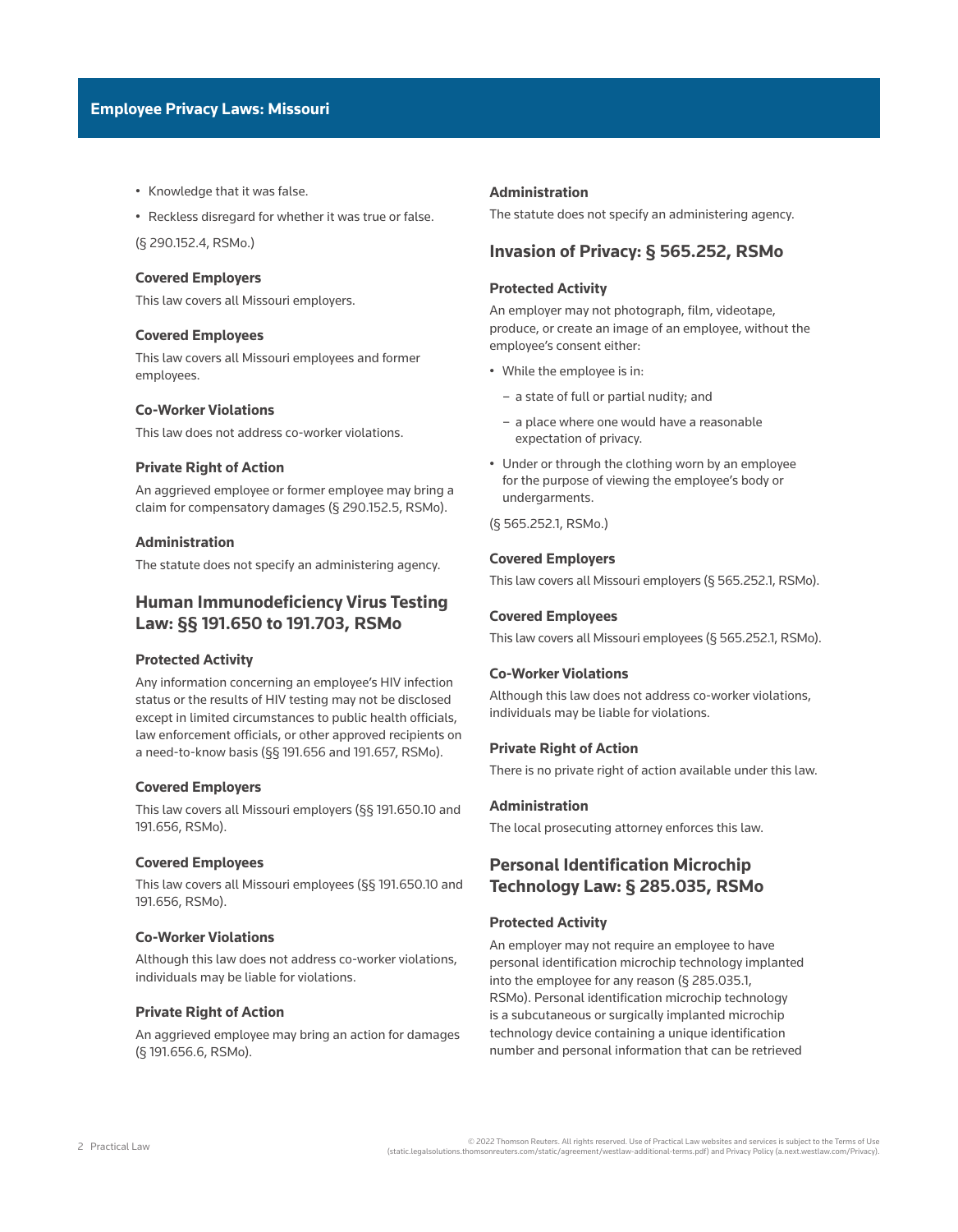- Knowledge that it was false.
- Reckless disregard for whether it was true or false.

([§ 290.152.4, RSMo](http://www.westlaw.com/Link/Document/FullText?findType=L&pubNum=1000229&cite=MOST290.152&originatingDoc=I907246edb1ce11ec9f24ec7b211d8087&refType=LQ&originationContext=document&vr=3.0&rs=cblt1.0&transitionType=PLDocumentLink&billingHash=09898F40EE3342C798FCA78A5794E1CFD756128AA9D7AB3B5FFED4FA7F9A2447&contextData=(sc.Default)).)

### **Covered Employers**

This law covers all Missouri employers.

### **Covered Employees**

This law covers all Missouri employees and former employees.

### **Co-Worker Violations**

This law does not address co-worker violations.

### **Private Right of Action**

An aggrieved employee or former employee may bring a claim for [compensatory damages](http://www.westlaw.com/Document/I0fa00d5def0811e28578f7ccc38dcbee/View/FullText.html?originationContext=document&vr=3.0&rs=cblt1.0&transitionType=DocumentItem&contextData=(sc.Default)) [\(§ 290.152.5, RSMo](http://www.westlaw.com/Link/Document/FullText?findType=L&pubNum=1000229&cite=MOST290.152&originatingDoc=I907246edb1ce11ec9f24ec7b211d8087&refType=LQ&originationContext=document&vr=3.0&rs=cblt1.0&transitionType=PLDocumentLink&billingHash=09898F40EE3342C798FCA78A5794E1CFD756128AA9D7AB3B5FFED4FA7F9A2447&contextData=(sc.Default))).

### **Administration**

The statute does not specify an administering agency.

## **Human Immunodeficiency Virus Testing Law: §§ 191.650 to 191.703, RSMo**

### **Protected Activity**

Any information concerning an employee's HIV infection status or the results of HIV testing may not be disclosed except in limited circumstances to public health officials, law enforcement officials, or other approved recipients on a need-to-know basis [\(§§ 191.656](http://www.westlaw.com/Link/Document/FullText?findType=L&pubNum=1000229&cite=MOST191.656&originatingDoc=I907246edb1ce11ec9f24ec7b211d8087&refType=LQ&originationContext=document&vr=3.0&rs=cblt1.0&transitionType=PLDocumentLink&billingHash=7C2804BC6332E418144A984156E82080EC46A9798FA0F49816244A08A4577D9C&contextData=(sc.Default)) and [191.657, RSMo](http://www.westlaw.com/Link/Document/FullText?findType=L&pubNum=1000229&cite=MOST191.657&originatingDoc=I907246edb1ce11ec9f24ec7b211d8087&refType=LQ&originationContext=document&vr=3.0&rs=cblt1.0&transitionType=PLDocumentLink&billingHash=197A591E0609CE9C19961F42A7CB1DA2A3ABFDC6C8CCDB318C35348FCE47D630&contextData=(sc.Default))).

#### **Covered Employers**

This law covers all Missouri employers ([§§ 191.650.10](http://www.westlaw.com/Link/Document/FullText?findType=L&pubNum=1000229&cite=MOST191.650&originatingDoc=I907246edb1ce11ec9f24ec7b211d8087&refType=LQ&originationContext=document&vr=3.0&rs=cblt1.0&transitionType=PLDocumentLink&billingHash=20B0437244948B4B6C33D5A627F90138F4E3724D0CB4581090F2791FA2F7F34B&contextData=(sc.Default)) and [191.656, RSMo](http://www.westlaw.com/Link/Document/FullText?findType=L&pubNum=1000229&cite=MOST191.656&originatingDoc=I907246edb1ce11ec9f24ec7b211d8087&refType=LQ&originationContext=document&vr=3.0&rs=cblt1.0&transitionType=PLDocumentLink&billingHash=7C2804BC6332E418144A984156E82080EC46A9798FA0F49816244A08A4577D9C&contextData=(sc.Default))).

### **Covered Employees**

This law covers all Missouri employees [\(§§ 191.650.10](http://www.westlaw.com/Link/Document/FullText?findType=L&pubNum=1000229&cite=MOST191.650&originatingDoc=I907246edb1ce11ec9f24ec7b211d8087&refType=LQ&originationContext=document&vr=3.0&rs=cblt1.0&transitionType=PLDocumentLink&billingHash=20B0437244948B4B6C33D5A627F90138F4E3724D0CB4581090F2791FA2F7F34B&contextData=(sc.Default)) and [191.656, RSMo](http://www.westlaw.com/Link/Document/FullText?findType=L&pubNum=1000229&cite=MOST191.656&originatingDoc=I907246edb1ce11ec9f24ec7b211d8087&refType=LQ&originationContext=document&vr=3.0&rs=cblt1.0&transitionType=PLDocumentLink&billingHash=7C2804BC6332E418144A984156E82080EC46A9798FA0F49816244A08A4577D9C&contextData=(sc.Default))).

### **Co-Worker Violations**

Although this law does not address co-worker violations, individuals may be liable for violations.

### **Private Right of Action**

An aggrieved employee may bring an action for damages ([§ 191.656.6, RSMo\)](http://www.westlaw.com/Link/Document/FullText?findType=L&pubNum=1000229&cite=MOST191.656&originatingDoc=I907246edb1ce11ec9f24ec7b211d8087&refType=LQ&originationContext=document&vr=3.0&rs=cblt1.0&transitionType=PLDocumentLink&billingHash=7C2804BC6332E418144A984156E82080EC46A9798FA0F49816244A08A4577D9C&contextData=(sc.Default)).

#### **Administration**

The statute does not specify an administering agency.

## **Invasion of Privacy: § 565.252, RSMo**

### **Protected Activity**

An employer may not photograph, film, videotape, produce, or create an image of an employee, without the employee's consent either:

- While the employee is in:
	- a state of full or partial nudity; and
	- a place where one would have a reasonable expectation of privacy.
- Under or through the clothing worn by an employee for the purpose of viewing the employee's body or undergarments.

[\(§ 565.252.1, RSMo.](http://www.westlaw.com/Link/Document/FullText?findType=L&pubNum=1000229&cite=MOST565.252&originatingDoc=I907246edb1ce11ec9f24ec7b211d8087&refType=LQ&originationContext=document&vr=3.0&rs=cblt1.0&transitionType=PLDocumentLink&billingHash=E599103D7A6554929390FA89B7786AD16C19557143315BA4A7241001FEF380A4&contextData=(sc.Default)))

### **Covered Employers**

This law covers all Missouri employers [\(§ 565.252.1, RSMo\)](http://www.westlaw.com/Link/Document/FullText?findType=L&pubNum=1000229&cite=MOST565.252&originatingDoc=I907246edb1ce11ec9f24ec7b211d8087&refType=LQ&originationContext=document&vr=3.0&rs=cblt1.0&transitionType=PLDocumentLink&billingHash=E599103D7A6554929390FA89B7786AD16C19557143315BA4A7241001FEF380A4&contextData=(sc.Default)).

### **Covered Employees**

This law covers all Missouri employees [\(§ 565.252.1, RSMo](http://www.westlaw.com/Link/Document/FullText?findType=L&pubNum=1000229&cite=MOST565.252&originatingDoc=I907246edb1ce11ec9f24ec7b211d8087&refType=LQ&originationContext=document&vr=3.0&rs=cblt1.0&transitionType=PLDocumentLink&billingHash=E599103D7A6554929390FA89B7786AD16C19557143315BA4A7241001FEF380A4&contextData=(sc.Default))).

### **Co-Worker Violations**

Although this law does not address co-worker violations, individuals may be liable for violations.

### **Private Right of Action**

There is no private right of action available under this law.

### **Administration**

The local prosecuting attorney enforces this law.

# **Personal Identification Microchip Technology Law: § 285.035, RSMo**

### **Protected Activity**

An employer may not require an employee to have personal identification microchip technology implanted into the employee for any reason [\(§ 285.035.1,](http://www.westlaw.com/Link/Document/FullText?findType=L&pubNum=1000229&cite=MOST285.035&originatingDoc=I907246edb1ce11ec9f24ec7b211d8087&refType=LQ&originationContext=document&vr=3.0&rs=cblt1.0&transitionType=PLDocumentLink&billingHash=B527A9A2ADBAD8C418217E40B9A6378D9721720BF37535541C01F282367FEF7A&contextData=(sc.Default))  [RSMo](http://www.westlaw.com/Link/Document/FullText?findType=L&pubNum=1000229&cite=MOST285.035&originatingDoc=I907246edb1ce11ec9f24ec7b211d8087&refType=LQ&originationContext=document&vr=3.0&rs=cblt1.0&transitionType=PLDocumentLink&billingHash=B527A9A2ADBAD8C418217E40B9A6378D9721720BF37535541C01F282367FEF7A&contextData=(sc.Default))). Personal identification microchip technology is a subcutaneous or surgically implanted microchip technology device containing a unique identification number and [personal information](http://www.westlaw.com/Document/I03f4d9aaeee311e28578f7ccc38dcbee/View/FullText.html?originationContext=document&vr=3.0&rs=cblt1.0&transitionType=DocumentItem&contextData=(sc.Default)) that can be retrieved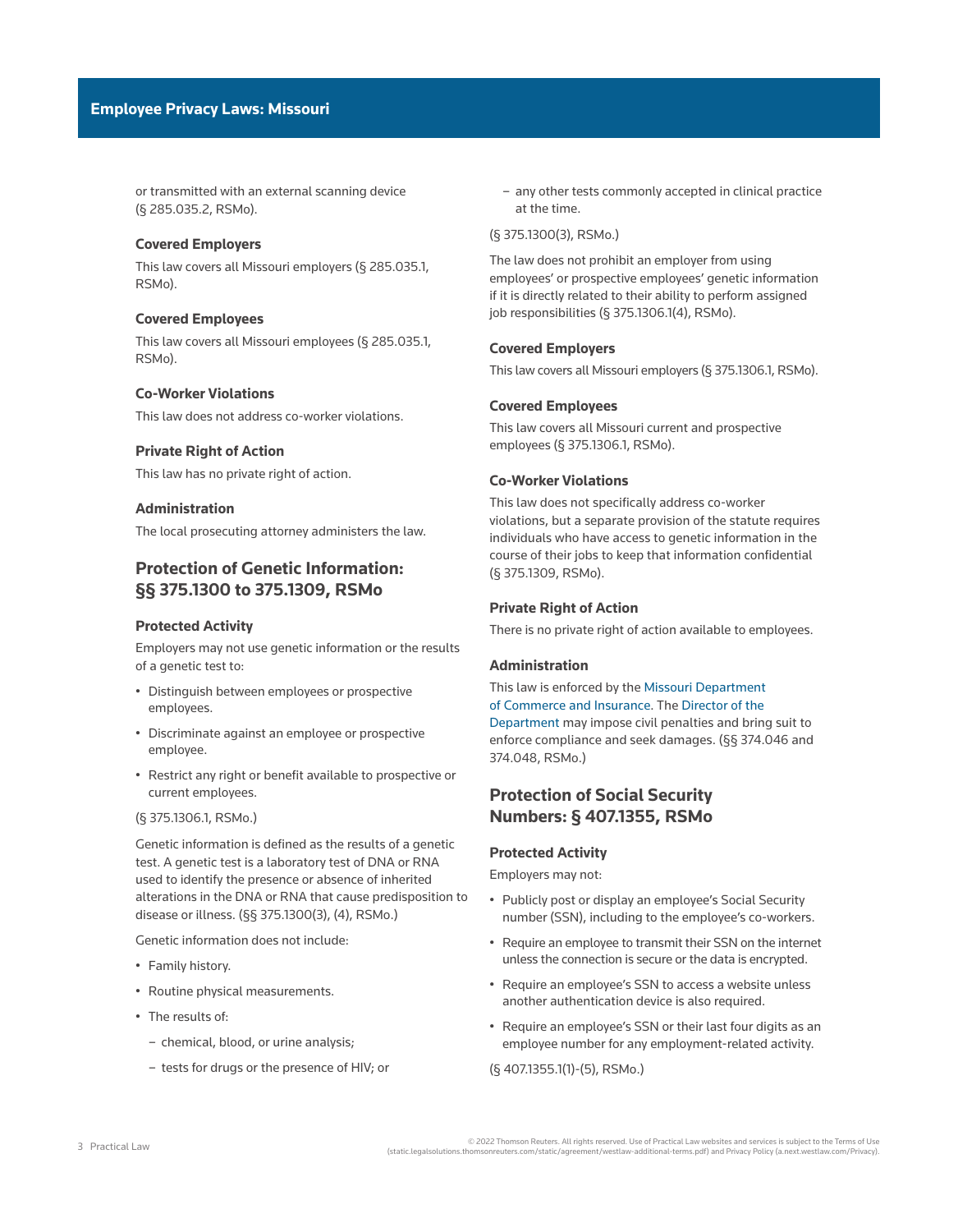or transmitted with an external scanning device ([§ 285.035.2, RSMo](http://www.westlaw.com/Link/Document/FullText?findType=L&pubNum=1000229&cite=MOST285.035&originatingDoc=I907246edb1ce11ec9f24ec7b211d8087&refType=LQ&originationContext=document&vr=3.0&rs=cblt1.0&transitionType=PLDocumentLink&billingHash=B527A9A2ADBAD8C418217E40B9A6378D9721720BF37535541C01F282367FEF7A&contextData=(sc.Default))).

### **Covered Employers**

This law covers all Missouri employers ([§ 285.035.1,](http://www.westlaw.com/Link/Document/FullText?findType=L&pubNum=1000229&cite=MOST285.035&originatingDoc=I907246edb1ce11ec9f24ec7b211d8087&refType=LQ&originationContext=document&vr=3.0&rs=cblt1.0&transitionType=PLDocumentLink&billingHash=B527A9A2ADBAD8C418217E40B9A6378D9721720BF37535541C01F282367FEF7A&contextData=(sc.Default))  [RSMo\)](http://www.westlaw.com/Link/Document/FullText?findType=L&pubNum=1000229&cite=MOST285.035&originatingDoc=I907246edb1ce11ec9f24ec7b211d8087&refType=LQ&originationContext=document&vr=3.0&rs=cblt1.0&transitionType=PLDocumentLink&billingHash=B527A9A2ADBAD8C418217E40B9A6378D9721720BF37535541C01F282367FEF7A&contextData=(sc.Default)).

### **Covered Employees**

This law covers all Missouri employees [\(§ 285.035.1,](http://www.westlaw.com/Link/Document/FullText?findType=L&pubNum=1000229&cite=MOST285.035&originatingDoc=I907246edb1ce11ec9f24ec7b211d8087&refType=LQ&originationContext=document&vr=3.0&rs=cblt1.0&transitionType=PLDocumentLink&billingHash=B527A9A2ADBAD8C418217E40B9A6378D9721720BF37535541C01F282367FEF7A&contextData=(sc.Default))  [RSMo\)](http://www.westlaw.com/Link/Document/FullText?findType=L&pubNum=1000229&cite=MOST285.035&originatingDoc=I907246edb1ce11ec9f24ec7b211d8087&refType=LQ&originationContext=document&vr=3.0&rs=cblt1.0&transitionType=PLDocumentLink&billingHash=B527A9A2ADBAD8C418217E40B9A6378D9721720BF37535541C01F282367FEF7A&contextData=(sc.Default)).

### **Co-Worker Violations**

This law does not address co-worker violations.

### **Private Right of Action**

This law has no private right of action.

### **Administration**

The local prosecuting attorney administers the law.

# **Protection of Genetic Information: §§ 375.1300 to 375.1309, RSMo**

### **Protected Activity**

Employers may not use genetic information or the results of a genetic test to:

- Distinguish between employees or prospective employees.
- Discriminate against an employee or prospective employee.
- Restrict any right or benefit available to prospective or current employees.

#### ([§ 375.1306.1, RSMo.](http://www.westlaw.com/Link/Document/FullText?findType=L&pubNum=1000229&cite=MOST375.1306&originatingDoc=I907246edb1ce11ec9f24ec7b211d8087&refType=LQ&originationContext=document&vr=3.0&rs=cblt1.0&transitionType=PLDocumentLink&billingHash=AA25E6F4229ABFD855BED5CAF4272781B2A486868304D82AB88D370B8E3F3301&contextData=(sc.Default)))

Genetic information is defined as the results of a genetic test. A genetic test is a laboratory test of DNA or RNA used to identify the presence or absence of inherited alterations in the DNA or RNA that cause predisposition to disease or illness. ([§§ 375.1300\(3\)](http://www.westlaw.com/Link/Document/FullText?findType=L&pubNum=1000229&cite=MOST375.1300&originatingDoc=I907246edb1ce11ec9f24ec7b211d8087&refType=SP&originationContext=document&vr=3.0&rs=cblt1.0&transitionType=PLDocumentLink&billingHash=6B7DE76F43288E4F6F850C317BB3158E40725ECCC868D183F12A03035407EB00&contextData=(sc.Default)#co_pp_d08f0000f5f67), [\(4\), RSMo.](http://www.westlaw.com/Link/Document/FullText?findType=L&pubNum=1000229&cite=MOST375.1300&originatingDoc=I907246edb1ce11ec9f24ec7b211d8087&refType=SP&originationContext=document&vr=3.0&rs=cblt1.0&transitionType=PLDocumentLink&billingHash=6B7DE76F43288E4F6F850C317BB3158E40725ECCC868D183F12A03035407EB00&contextData=(sc.Default)#co_pp_0bd500007a412))

Genetic information does not include:

- Family history.
- Routine physical measurements.
- The results of:
	- chemical, blood, or urine analysis;
	- tests for drugs or the presence of HIV; or

– any other tests commonly accepted in clinical practice at the time.

### [\(§ 375.1300\(3\), RSMo.](http://www.westlaw.com/Link/Document/FullText?findType=L&pubNum=1000229&cite=MOST375.1300&originatingDoc=I907246edb1ce11ec9f24ec7b211d8087&refType=SP&originationContext=document&vr=3.0&rs=cblt1.0&transitionType=PLDocumentLink&billingHash=6B7DE76F43288E4F6F850C317BB3158E40725ECCC868D183F12A03035407EB00&contextData=(sc.Default)#co_pp_d08f0000f5f67))

The law does not prohibit an employer from using employees' or prospective employees' genetic information if it is directly related to their ability to perform assigned job responsibilities [\(§ 375.1306.1\(4\), RSMo\)](http://www.westlaw.com/Link/Document/FullText?findType=L&pubNum=1000229&cite=MOST375.1306&originatingDoc=I907246edb1ce11ec9f24ec7b211d8087&refType=LQ&originationContext=document&vr=3.0&rs=cblt1.0&transitionType=PLDocumentLink&billingHash=AA25E6F4229ABFD855BED5CAF4272781B2A486868304D82AB88D370B8E3F3301&contextData=(sc.Default)).

### **Covered Employers**

This law covers all Missouri employers [\(§ 375.1306.1, RSMo\)](http://www.westlaw.com/Link/Document/FullText?findType=L&pubNum=1000229&cite=MOST375.1306&originatingDoc=I907246edb1ce11ec9f24ec7b211d8087&refType=LQ&originationContext=document&vr=3.0&rs=cblt1.0&transitionType=PLDocumentLink&billingHash=AA25E6F4229ABFD855BED5CAF4272781B2A486868304D82AB88D370B8E3F3301&contextData=(sc.Default)).

### **Covered Employees**

This law covers all Missouri current and prospective employees [\(§ 375.1306.1, RSMo\)](http://www.westlaw.com/Link/Document/FullText?findType=L&pubNum=1000229&cite=MOST375.1306&originatingDoc=I907246edb1ce11ec9f24ec7b211d8087&refType=LQ&originationContext=document&vr=3.0&rs=cblt1.0&transitionType=PLDocumentLink&billingHash=AA25E6F4229ABFD855BED5CAF4272781B2A486868304D82AB88D370B8E3F3301&contextData=(sc.Default)).

### **Co-Worker Violations**

This law does not specifically address co-worker violations, but a separate provision of the statute requires individuals who have access to genetic information in the course of their jobs to keep that information confidential [\(§ 375.1309, RSMo](http://www.westlaw.com/Link/Document/FullText?findType=L&pubNum=1000229&cite=MOST375.1309&originatingDoc=I907246edb1ce11ec9f24ec7b211d8087&refType=LQ&originationContext=document&vr=3.0&rs=cblt1.0&transitionType=PLDocumentLink&billingHash=B1B63DC84B297293A847038379431BDEF057BB5851CE8F41A83316F833D0AF9B&contextData=(sc.Default))).

### **Private Right of Action**

There is no private right of action available to employees.

### **Administration**

### This law is enforced by the [Missouri Department](https://dci.mo.gov/)

[of Commerce and Insurance](https://dci.mo.gov/). The [Director of the](https://dci.mo.gov/director.php)  [Department](https://dci.mo.gov/director.php) may impose civil penalties and bring suit to enforce compliance and seek damages. [\(§§ 374.046](http://www.westlaw.com/Link/Document/FullText?findType=L&pubNum=1000229&cite=MOST374.046&originatingDoc=I907246edb1ce11ec9f24ec7b211d8087&refType=LQ&originationContext=document&vr=3.0&rs=cblt1.0&transitionType=PLDocumentLink&billingHash=6B2CB7FE17D7B623A959DC870CE0F3BED9D216AA651ADC09A03E854EE99D2F59&contextData=(sc.Default)) and [374.048, RSMo](http://www.westlaw.com/Link/Document/FullText?findType=L&pubNum=1000229&cite=MOST374.048&originatingDoc=I907246edb1ce11ec9f24ec7b211d8087&refType=LQ&originationContext=document&vr=3.0&rs=cblt1.0&transitionType=PLDocumentLink&billingHash=047F728C532E4304127DBE4317F91D8D85C326D7F2AE4149FF5228D4E1EEE67F&contextData=(sc.Default)).)

## **Protection of Social Security Numbers: § 407.1355, RSMo**

### **Protected Activity**

Employers may not:

- Publicly post or display an employee's Social Security number (SSN), including to the employee's co-workers.
- Require an employee to transmit their SSN on the internet unless the connection is secure or the data is encrypted.
- Require an employee's SSN to access a website unless another authentication device is also required.
- Require an employee's SSN or their last four digits as an employee number for any employment-related activity.

[\(§ 407.1355.1\(1\)-\(5\), RSMo](http://www.westlaw.com/Link/Document/FullText?findType=L&pubNum=1000229&cite=MOST407.1355&originatingDoc=I907246edb1ce11ec9f24ec7b211d8087&refType=LQ&originationContext=document&vr=3.0&rs=cblt1.0&transitionType=PLDocumentLink&billingHash=C548DCC7B53B55488F9198FD3D30BBDB87EE65DFCB9F2C3C1BAC1B2A4994C168&contextData=(sc.Default)).)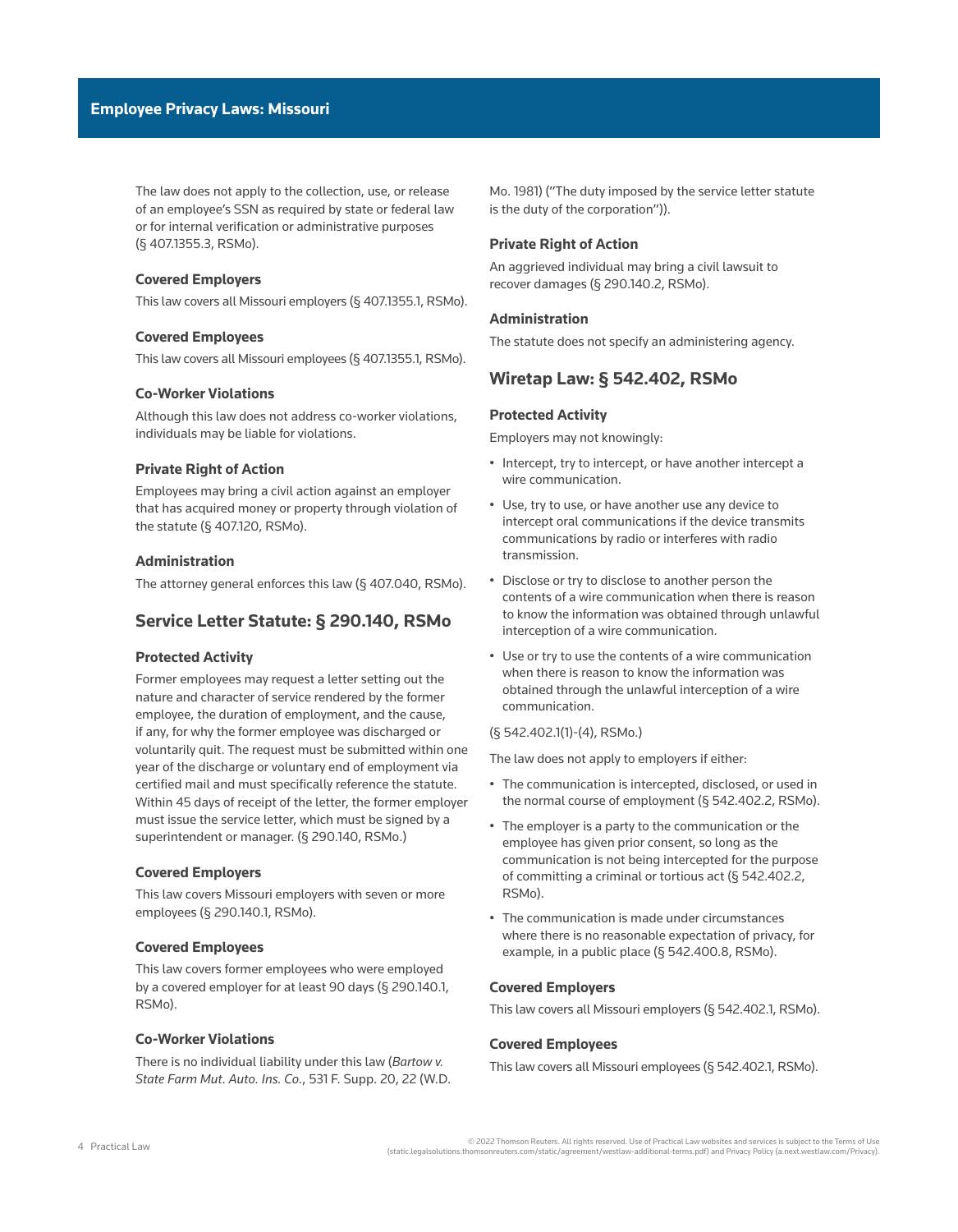The law does not apply to the collection, use, or release of an employee's SSN as required by state or federal law or for internal verification or administrative purposes ([§ 407.1355.3, RSMo](http://www.westlaw.com/Link/Document/FullText?findType=L&pubNum=1000229&cite=MOST407.1355&originatingDoc=I907246edb1ce11ec9f24ec7b211d8087&refType=LQ&originationContext=document&vr=3.0&rs=cblt1.0&transitionType=PLDocumentLink&billingHash=C548DCC7B53B55488F9198FD3D30BBDB87EE65DFCB9F2C3C1BAC1B2A4994C168&contextData=(sc.Default))).

### **Covered Employers**

This law covers all Missouri employers [\(§ 407.1355.1, RSMo\)](http://www.westlaw.com/Link/Document/FullText?findType=L&pubNum=1000229&cite=MOST407.1355&originatingDoc=I907246edb1ce11ec9f24ec7b211d8087&refType=LQ&originationContext=document&vr=3.0&rs=cblt1.0&transitionType=PLDocumentLink&billingHash=C548DCC7B53B55488F9198FD3D30BBDB87EE65DFCB9F2C3C1BAC1B2A4994C168&contextData=(sc.Default)).

### **Covered Employees**

This law covers all Missouri employees [\(§ 407.1355.1, RSMo](http://www.westlaw.com/Link/Document/FullText?findType=L&pubNum=1000229&cite=MOST407.1355&originatingDoc=I907246edb1ce11ec9f24ec7b211d8087&refType=LQ&originationContext=document&vr=3.0&rs=cblt1.0&transitionType=PLDocumentLink&billingHash=C548DCC7B53B55488F9198FD3D30BBDB87EE65DFCB9F2C3C1BAC1B2A4994C168&contextData=(sc.Default))).

### **Co-Worker Violations**

Although this law does not address co-worker violations, individuals may be liable for violations.

### **Private Right of Action**

Employees may bring a civil action against an employer that has acquired money or property through violation of the statute [\(§ 407.120, RSMo\)](http://www.westlaw.com/Link/Document/FullText?findType=L&pubNum=1000229&cite=MOST407.120&originatingDoc=I907246edb1ce11ec9f24ec7b211d8087&refType=LQ&originationContext=document&vr=3.0&rs=cblt1.0&transitionType=PLDocumentLink&billingHash=BA0873B18C6BF3A4108B940A2BB2416232AD8DC0D8BBCC70E5F9388D3E012977&contextData=(sc.Default)).

### **Administration**

The attorney general enforces this law [\(§ 407.040, RSMo\)](http://www.westlaw.com/Link/Document/FullText?findType=L&pubNum=1000229&cite=MOST407.040&originatingDoc=I907246edb1ce11ec9f24ec7b211d8087&refType=LQ&originationContext=document&vr=3.0&rs=cblt1.0&transitionType=PLDocumentLink&billingHash=732735FB2FFD73555EB25AF5E6F38F86DF2BF9086C007D491BE2E693E20DF08B&contextData=(sc.Default)).

## **Service Letter Statute: § 290.140, RSMo**

### **Protected Activity**

Former employees may request a letter setting out the nature and character of service rendered by the former employee, the duration of employment, and the cause, if any, for why the former employee was discharged or voluntarily quit. The request must be submitted within one year of the discharge or voluntary end of employment via certified mail and must specifically reference the statute. Within 45 days of receipt of the letter, the former employer must issue the service letter, which must be signed by a superintendent or manager. [\(§ 290.140, RSMo](http://www.westlaw.com/Link/Document/FullText?findType=L&pubNum=1000229&cite=MOST290.140&originatingDoc=I907246edb1ce11ec9f24ec7b211d8087&refType=LQ&originationContext=document&vr=3.0&rs=cblt1.0&transitionType=PLDocumentLink&billingHash=4310846A790545EC30246ABDEE378370413192F67ED8D58A934CD31EAFFBDFBB&contextData=(sc.Default)).)

### **Covered Employers**

This law covers Missouri employers with seven or more employees ([§ 290.140.1, RSMo\)](http://www.westlaw.com/Link/Document/FullText?findType=L&pubNum=1000229&cite=MOST290.140&originatingDoc=I907246edb1ce11ec9f24ec7b211d8087&refType=LQ&originationContext=document&vr=3.0&rs=cblt1.0&transitionType=PLDocumentLink&billingHash=4310846A790545EC30246ABDEE378370413192F67ED8D58A934CD31EAFFBDFBB&contextData=(sc.Default)).

### **Covered Employees**

This law covers former employees who were employed by a covered employer for at least 90 days ([§ 290.140.1,](http://www.westlaw.com/Link/Document/FullText?findType=L&pubNum=1000229&cite=MOST290.140&originatingDoc=I907246edb1ce11ec9f24ec7b211d8087&refType=LQ&originationContext=document&vr=3.0&rs=cblt1.0&transitionType=PLDocumentLink&billingHash=4310846A790545EC30246ABDEE378370413192F67ED8D58A934CD31EAFFBDFBB&contextData=(sc.Default))  [RSMo\)](http://www.westlaw.com/Link/Document/FullText?findType=L&pubNum=1000229&cite=MOST290.140&originatingDoc=I907246edb1ce11ec9f24ec7b211d8087&refType=LQ&originationContext=document&vr=3.0&rs=cblt1.0&transitionType=PLDocumentLink&billingHash=4310846A790545EC30246ABDEE378370413192F67ED8D58A934CD31EAFFBDFBB&contextData=(sc.Default)).

### **Co-Worker Violations**

There is no individual liability under this law (*[Bartow v.](http://www.westlaw.com/Link/Document/FullText?findType=Y&serNum=1982104770&pubNum=0000345&originatingDoc=I907246edb1ce11ec9f24ec7b211d8087&refType=RP&fi=co_pp_sp_345_22&originationContext=document&vr=3.0&rs=cblt1.0&transitionType=PLDocumentLink&billingHash=63FB07678FCEC654F054AA5C359A102753570582A0DCC2EF79EE07147A365A5B&contextData=(sc.Default)#co_pp_sp_345_22)  [State Farm Mut. Auto. Ins. Co.](http://www.westlaw.com/Link/Document/FullText?findType=Y&serNum=1982104770&pubNum=0000345&originatingDoc=I907246edb1ce11ec9f24ec7b211d8087&refType=RP&fi=co_pp_sp_345_22&originationContext=document&vr=3.0&rs=cblt1.0&transitionType=PLDocumentLink&billingHash=63FB07678FCEC654F054AA5C359A102753570582A0DCC2EF79EE07147A365A5B&contextData=(sc.Default)#co_pp_sp_345_22)*, 531 F. Supp. 20, 22 (W.D. [Mo. 1981\)](http://www.westlaw.com/Link/Document/FullText?findType=Y&serNum=1982104770&pubNum=0000345&originatingDoc=I907246edb1ce11ec9f24ec7b211d8087&refType=RP&fi=co_pp_sp_345_22&originationContext=document&vr=3.0&rs=cblt1.0&transitionType=PLDocumentLink&billingHash=63FB07678FCEC654F054AA5C359A102753570582A0DCC2EF79EE07147A365A5B&contextData=(sc.Default)#co_pp_sp_345_22) ("The duty imposed by the service letter statute is the duty of the corporation")).

### **Private Right of Action**

An aggrieved individual may bring a civil lawsuit to recover damages [\(§ 290.140.2, RSMo](http://www.westlaw.com/Link/Document/FullText?findType=L&pubNum=1000229&cite=MOST290.140&originatingDoc=I907246edb1ce11ec9f24ec7b211d8087&refType=LQ&originationContext=document&vr=3.0&rs=cblt1.0&transitionType=PLDocumentLink&billingHash=4310846A790545EC30246ABDEE378370413192F67ED8D58A934CD31EAFFBDFBB&contextData=(sc.Default))).

#### **Administration**

The statute does not specify an administering agency.

## **Wiretap Law: § 542.402, RSMo**

### **Protected Activity**

Employers may not knowingly:

- Intercept, try to intercept, or have another intercept a wire communication.
- Use, try to use, or have another use any device to intercept oral communications if the device transmits communications by radio or interferes with radio transmission.
- Disclose or try to disclose to another person the contents of a wire communication when there is reason to know the information was obtained through unlawful interception of a wire communication.
- Use or try to use the contents of a wire communication when there is reason to know the information was obtained through the unlawful interception of a wire communication.

### [\(§ 542.402.1\(1\)-\(4\), RSMo](http://www.westlaw.com/Link/Document/FullText?findType=L&pubNum=1000229&cite=MOST542.402&originatingDoc=I907246edb1ce11ec9f24ec7b211d8087&refType=LQ&originationContext=document&vr=3.0&rs=cblt1.0&transitionType=PLDocumentLink&billingHash=A366DA72EE93F8E8CE200CD46827B12BCD5E569B498089BD7F4DB328CDBBD372&contextData=(sc.Default)).)

The law does not apply to employers if either:

- The communication is intercepted, disclosed, or used in the normal course of employment [\(§ 542.402.2, RSMo\)](http://www.westlaw.com/Link/Document/FullText?findType=L&pubNum=1000229&cite=MOST542.402&originatingDoc=I907246edb1ce11ec9f24ec7b211d8087&refType=LQ&originationContext=document&vr=3.0&rs=cblt1.0&transitionType=PLDocumentLink&billingHash=A366DA72EE93F8E8CE200CD46827B12BCD5E569B498089BD7F4DB328CDBBD372&contextData=(sc.Default)).
- The employer is a party to the communication or the employee has given prior consent, so long as the communication is not being intercepted for the purpose of committing a criminal or tortious act ([§ 542.402.2,](http://www.westlaw.com/Link/Document/FullText?findType=L&pubNum=1000229&cite=MOST542.402&originatingDoc=I907246edb1ce11ec9f24ec7b211d8087&refType=LQ&originationContext=document&vr=3.0&rs=cblt1.0&transitionType=PLDocumentLink&billingHash=A366DA72EE93F8E8CE200CD46827B12BCD5E569B498089BD7F4DB328CDBBD372&contextData=(sc.Default))  [RSMo\)](http://www.westlaw.com/Link/Document/FullText?findType=L&pubNum=1000229&cite=MOST542.402&originatingDoc=I907246edb1ce11ec9f24ec7b211d8087&refType=LQ&originationContext=document&vr=3.0&rs=cblt1.0&transitionType=PLDocumentLink&billingHash=A366DA72EE93F8E8CE200CD46827B12BCD5E569B498089BD7F4DB328CDBBD372&contextData=(sc.Default)).
- The communication is made under circumstances where there is no reasonable expectation of privacy, for example, in a public place [\(§ 542.400.8, RSMo\)](http://www.westlaw.com/Link/Document/FullText?findType=L&pubNum=1000229&cite=MOST542.400&originatingDoc=I907246edb1ce11ec9f24ec7b211d8087&refType=LQ&originationContext=document&vr=3.0&rs=cblt1.0&transitionType=PLDocumentLink&billingHash=B023A0B61403748C7B60C973BFE576474D4DBE8FD6A67F454AB32BF889680967&contextData=(sc.Default)).

#### **Covered Employers**

This law covers all Missouri employers [\(§ 542.402.1, RSMo](http://www.westlaw.com/Link/Document/FullText?findType=L&pubNum=1000229&cite=MOST542.402&originatingDoc=I907246edb1ce11ec9f24ec7b211d8087&refType=LQ&originationContext=document&vr=3.0&rs=cblt1.0&transitionType=PLDocumentLink&billingHash=A366DA72EE93F8E8CE200CD46827B12BCD5E569B498089BD7F4DB328CDBBD372&contextData=(sc.Default))).

### **Covered Employees**

This law covers all Missouri employees ([§ 542.402.1, RSMo\)](http://www.westlaw.com/Link/Document/FullText?findType=L&pubNum=1000229&cite=MOST542.402&originatingDoc=I907246edb1ce11ec9f24ec7b211d8087&refType=LQ&originationContext=document&vr=3.0&rs=cblt1.0&transitionType=PLDocumentLink&billingHash=A366DA72EE93F8E8CE200CD46827B12BCD5E569B498089BD7F4DB328CDBBD372&contextData=(sc.Default)).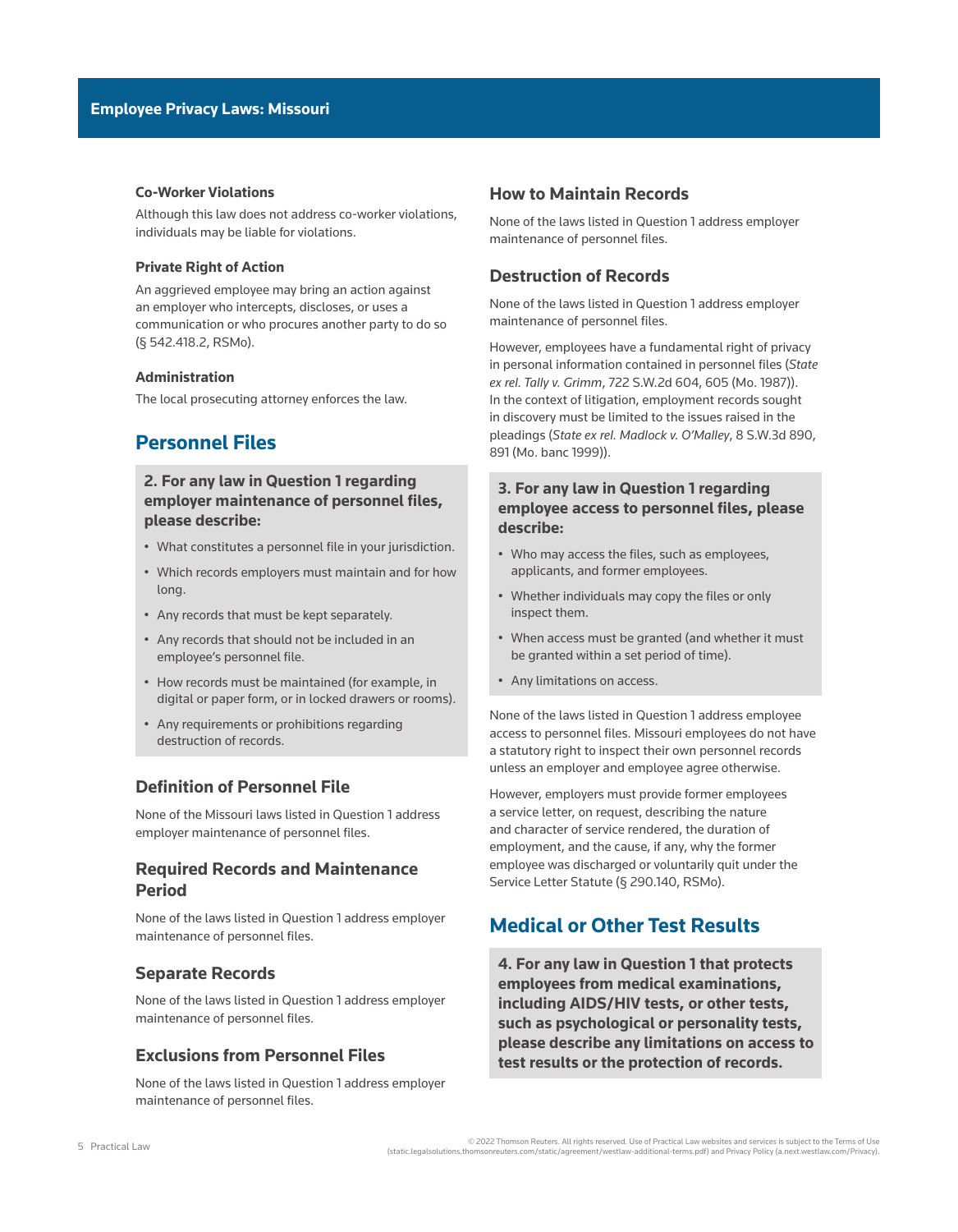### **Co-Worker Violations**

Although this law does not address co-worker violations, individuals may be liable for violations.

### **Private Right of Action**

An aggrieved employee may bring an action against an employer who intercepts, discloses, or uses a communication or who procures another party to do so ([§ 542.418.2, RSMo](http://www.westlaw.com/Link/Document/FullText?findType=L&pubNum=1000229&cite=MOST542.418&originatingDoc=I907246edb1ce11ec9f24ec7b211d8087&refType=LQ&originationContext=document&vr=3.0&rs=cblt1.0&transitionType=PLDocumentLink&billingHash=2597908A3415ED507C421CE66AF94FDABB641ED8DBCF17F6DFE28074BCBBD4EF&contextData=(sc.Default))).

### **Administration**

The local prosecuting attorney enforces the law.

# **Personnel Files**

## **2. For any law in Question 1 regarding employer maintenance of personnel files, please describe:**

- What constitutes a personnel file in your jurisdiction.
- Which records employers must maintain and for how long.
- Any records that must be kept separately.
- Any records that should not be included in an employee's personnel file.
- How records must be maintained (for example, in digital or paper form, or in locked drawers or rooms).
- Any requirements or prohibitions regarding destruction of records.

## **Definition of Personnel File**

None of the Missouri laws listed in Question 1 address employer maintenance of personnel files.

## **Required Records and Maintenance Period**

None of the laws listed in Question 1 address employer maintenance of personnel files.

### **Separate Records**

None of the laws listed in Question 1 address employer maintenance of personnel files.

## **Exclusions from Personnel Files**

None of the laws listed in Question 1 address employer maintenance of personnel files.

### **How to Maintain Records**

None of the laws listed in Question 1 address employer maintenance of personnel files.

## **Destruction of Records**

None of the laws listed in Question 1 address employer maintenance of personnel files.

However, employees have a fundamental right of privacy in personal information contained in personnel files (*[State](http://www.westlaw.com/Link/Document/FullText?findType=Y&serNum=1987005874&pubNum=0000713&originatingDoc=I907246edb1ce11ec9f24ec7b211d8087&refType=RP&fi=co_pp_sp_713_605&originationContext=document&vr=3.0&rs=cblt1.0&transitionType=PLDocumentLink&billingHash=376DF3A278327F43736BFC0F680D6A898E5E7571C71F15F00A822A14DA2CBDA2&contextData=(sc.Default)#co_pp_sp_713_605)  ex rel. Tally v. Grimm*[, 722 S.W.2d 604, 605 \(Mo. 1987\)\)](http://www.westlaw.com/Link/Document/FullText?findType=Y&serNum=1987005874&pubNum=0000713&originatingDoc=I907246edb1ce11ec9f24ec7b211d8087&refType=RP&fi=co_pp_sp_713_605&originationContext=document&vr=3.0&rs=cblt1.0&transitionType=PLDocumentLink&billingHash=376DF3A278327F43736BFC0F680D6A898E5E7571C71F15F00A822A14DA2CBDA2&contextData=(sc.Default)#co_pp_sp_713_605). In the context of litigation, employment records sought in discovery must be limited to the issues raised in the pleadings (*[State ex rel. Madlock v. O'Malley](http://www.westlaw.com/Link/Document/FullText?findType=Y&serNum=1999268046&pubNum=0004644&originatingDoc=I907246edb1ce11ec9f24ec7b211d8087&refType=RP&fi=co_pp_sp_4644_891&originationContext=document&vr=3.0&rs=cblt1.0&transitionType=PLDocumentLink&billingHash=75FCD624AD4F39B50D57E6E24A29D2E4C05D475F04EBE0BB5F91061DBC7BABB1&contextData=(sc.Default)#co_pp_sp_4644_891)*, 8 S.W.3d 890, [891 \(Mo. banc 1999\)\)](http://www.westlaw.com/Link/Document/FullText?findType=Y&serNum=1999268046&pubNum=0004644&originatingDoc=I907246edb1ce11ec9f24ec7b211d8087&refType=RP&fi=co_pp_sp_4644_891&originationContext=document&vr=3.0&rs=cblt1.0&transitionType=PLDocumentLink&billingHash=75FCD624AD4F39B50D57E6E24A29D2E4C05D475F04EBE0BB5F91061DBC7BABB1&contextData=(sc.Default)#co_pp_sp_4644_891).

## **3. For any law in Question 1 regarding employee access to personnel files, please describe:**

- Who may access the files, such as employees, applicants, and former employees.
- Whether individuals may copy the files or only inspect them.
- When access must be granted (and whether it must be granted within a set period of time).
- Any limitations on access.

None of the laws listed in Question 1 address employee access to personnel files. Missouri employees do not have a statutory right to inspect their own personnel records unless an employer and employee agree otherwise.

However, employers must provide former employees a service letter, on request, describing the nature and character of service rendered, the duration of employment, and the cause, if any, why the former employee was discharged or voluntarily quit under the Service Letter Statute [\(§ 290.140, RSMo](http://www.westlaw.com/Link/Document/FullText?findType=L&pubNum=1000229&cite=MOST290.140&originatingDoc=I907246edb1ce11ec9f24ec7b211d8087&refType=LQ&originationContext=document&vr=3.0&rs=cblt1.0&transitionType=PLDocumentLink&billingHash=4310846A790545EC30246ABDEE378370413192F67ED8D58A934CD31EAFFBDFBB&contextData=(sc.Default))).

# **Medical or Other Test Results**

**4. For any law in Question 1 that protects employees from medical examinations, including AIDS/HIV tests, or other tests, such as psychological or personality tests, please describe any limitations on access to test results or the protection of records.**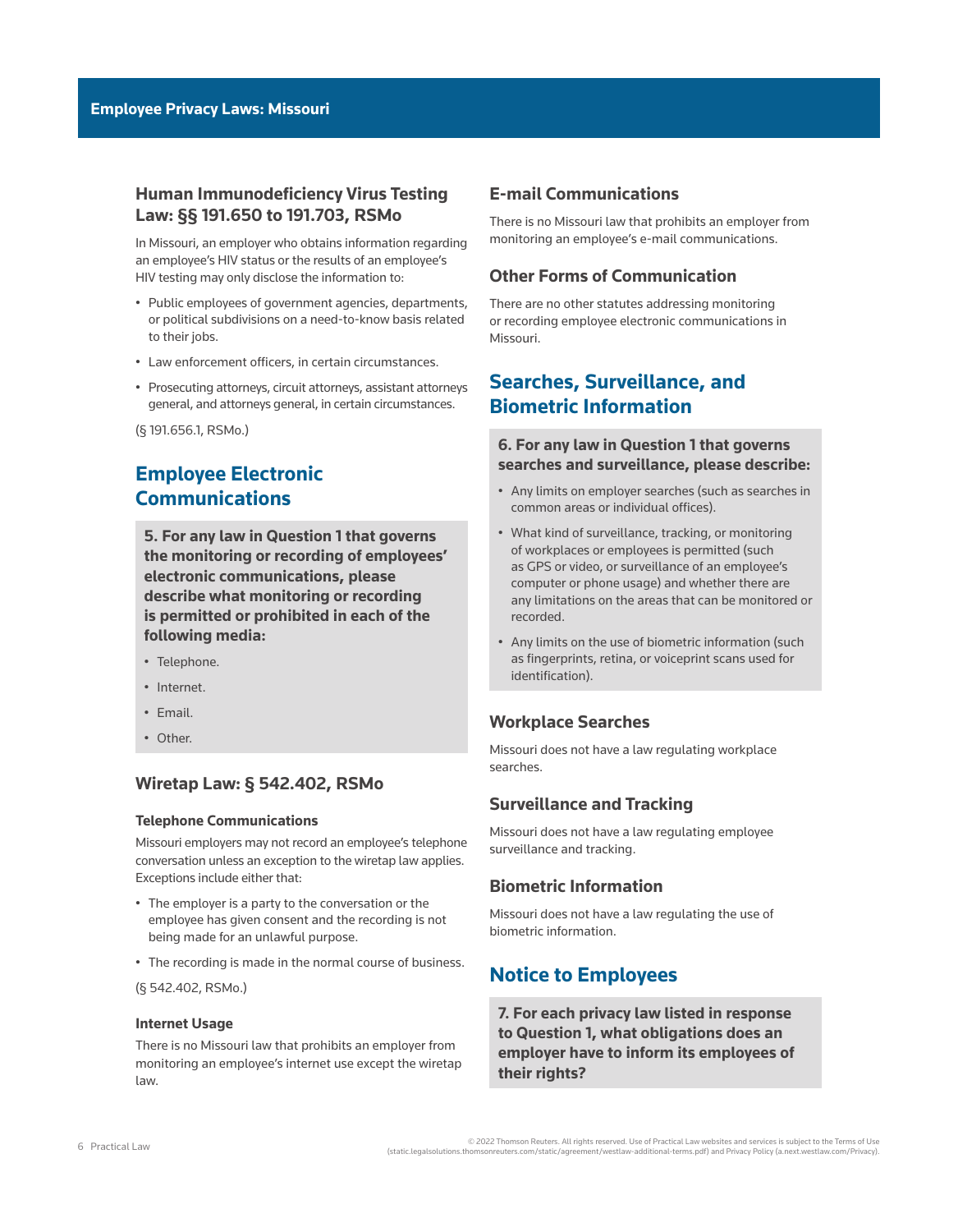## **Human Immunodeficiency Virus Testing Law: §§ 191.650 to 191.703, RSMo**

In Missouri, an employer who obtains information regarding an employee's HIV status or the results of an employee's HIV testing may only disclose the information to:

- Public employees of government agencies, departments, or political subdivisions on a need-to-know basis related to their jobs.
- Law enforcement officers, in certain circumstances.
- Prosecuting attorneys, circuit attorneys, assistant attorneys general, and attorneys general, in certain circumstances.

([§ 191.656.1, RSMo.](http://www.westlaw.com/Link/Document/FullText?findType=L&pubNum=1000229&cite=MOST191.656&originatingDoc=I907246edb1ce11ec9f24ec7b211d8087&refType=LQ&originationContext=document&vr=3.0&rs=cblt1.0&transitionType=PLDocumentLink&billingHash=7C2804BC6332E418144A984156E82080EC46A9798FA0F49816244A08A4577D9C&contextData=(sc.Default)))

# **Employee Electronic Communications**

**5. For any law in Question 1 that governs the monitoring or recording of employees' electronic communications, please describe what monitoring or recording is permitted or prohibited in each of the following media:**

- Telephone.
- Internet.
- Email.
- Other.

### **Wiretap Law: § 542.402, RSMo**

### **Telephone Communications**

Missouri employers may not record an employee's telephone conversation unless an exception to the wiretap law applies. Exceptions include either that:

- The employer is a party to the conversation or the employee has given consent and the recording is not being made for an unlawful purpose.
- The recording is made in the normal course of business.

([§ 542.402, RSMo](http://www.westlaw.com/Link/Document/FullText?findType=L&pubNum=1000229&cite=MOST542.402&originatingDoc=I907246edb1ce11ec9f24ec7b211d8087&refType=LQ&originationContext=document&vr=3.0&rs=cblt1.0&transitionType=PLDocumentLink&billingHash=A366DA72EE93F8E8CE200CD46827B12BCD5E569B498089BD7F4DB328CDBBD372&contextData=(sc.Default)).)

### **Internet Usage**

There is no Missouri law that prohibits an employer from monitoring an employee's internet use except the wiretap law.

### **E-mail Communications**

There is no Missouri law that prohibits an employer from monitoring an employee's e-mail communications.

## **Other Forms of Communication**

There are no other statutes addressing monitoring or recording employee electronic communications in Missouri.

# **Searches, Surveillance, and Biometric Information**

## **6. For any law in Question 1 that governs searches and surveillance, please describe:**

- Any limits on employer searches (such as searches in common areas or individual offices).
- What kind of surveillance, tracking, or monitoring of workplaces or employees is permitted (such as GPS or video, or surveillance of an employee's computer or phone usage) and whether there are any limitations on the areas that can be monitored or recorded.
- Any limits on the use of biometric information (such as fingerprints, retina, or voiceprint scans used for identification).

## **Workplace Searches**

Missouri does not have a law regulating workplace searches.

## **Surveillance and Tracking**

Missouri does not have a law regulating employee surveillance and tracking.

## **Biometric Information**

Missouri does not have a law regulating the use of biometric information.

# **Notice to Employees**

**7. For each privacy law listed in response to Question 1, what obligations does an employer have to inform its employees of their rights?**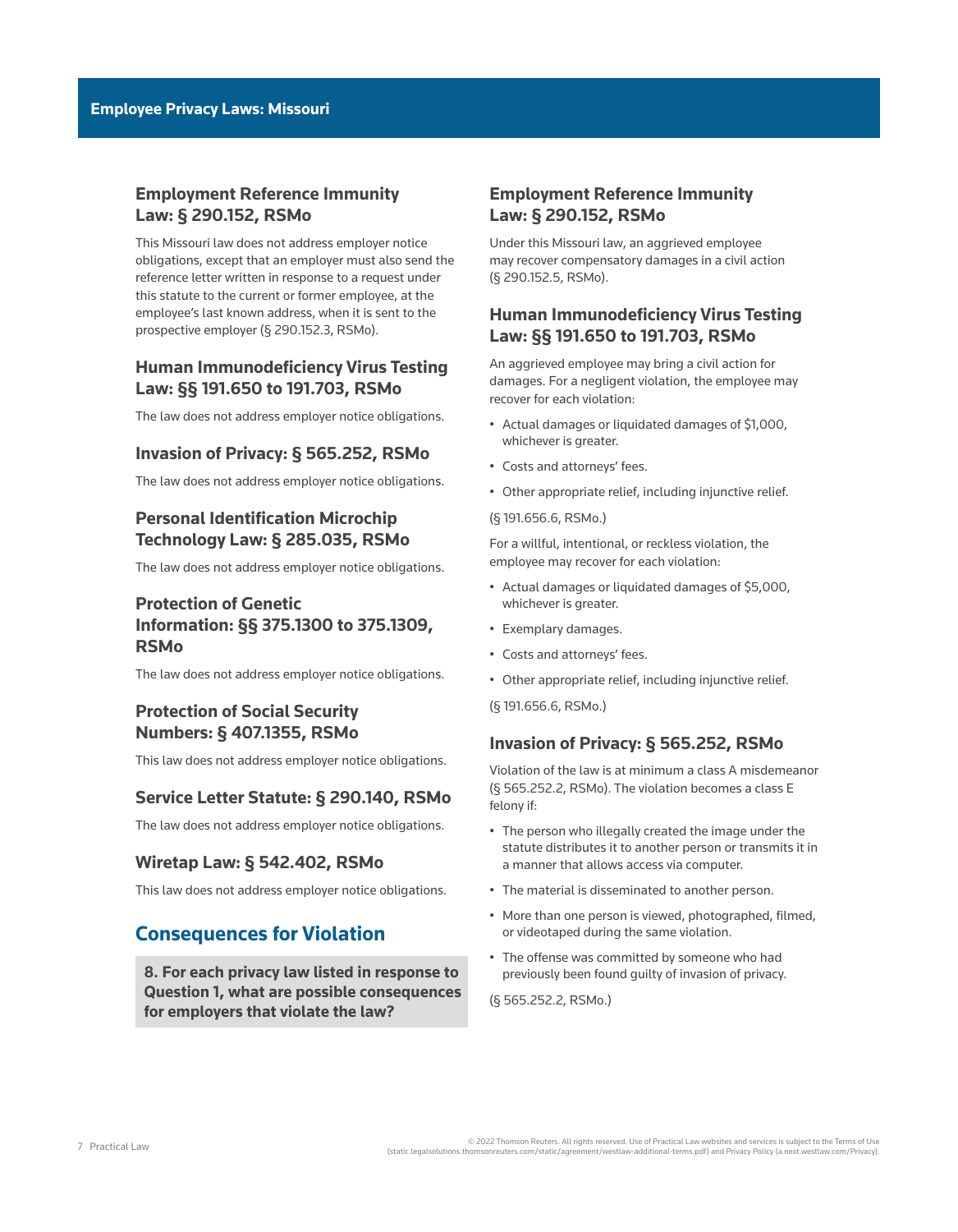# **Employment Reference Immunity Law: § 290.152, RSMo**

This Missouri law does not address employer notice obligations, except that an employer must also send the reference letter written in response to a request under this statute to the current or former employee, at the employee's last known address, when it is sent to the prospective employer ([§ 290.152.3, RSMo\)](http://www.westlaw.com/Link/Document/FullText?findType=L&pubNum=1000229&cite=MOST290.152&originatingDoc=I907246edb1ce11ec9f24ec7b211d8087&refType=LQ&originationContext=document&vr=3.0&rs=cblt1.0&transitionType=PLDocumentLink&billingHash=09898F40EE3342C798FCA78A5794E1CFD756128AA9D7AB3B5FFED4FA7F9A2447&contextData=(sc.Default)).

# **Human Immunodeficiency Virus Testing Law: §§ 191.650 to 191.703, RSMo**

The law does not address employer notice obligations.

## **Invasion of Privacy: § 565.252, RSMo**

The law does not address employer notice obligations.

# **Personal Identification Microchip Technology Law: § 285.035, RSMo**

The law does not address employer notice obligations.

# **Protection of Genetic Information: §§ 375.1300 to 375.1309, RSMo**

The law does not address employer notice obligations.

# **Protection of Social Security Numbers: § 407.1355, RSMo**

This law does not address employer notice obligations.

### **Service Letter Statute: § 290.140, RSMo**

The law does not address employer notice obligations.

## **Wiretap Law: § 542.402, RSMo**

This law does not address employer notice obligations.

# **Consequences for Violation**

**8. For each privacy law listed in response to Question 1, what are possible consequences for employers that violate the law?**

# **Employment Reference Immunity Law: § 290.152, RSMo**

Under this Missouri law, an aggrieved employee may recover compensatory damages in a civil action [\(§ 290.152.5, RSMo](http://www.westlaw.com/Link/Document/FullText?findType=L&pubNum=1000229&cite=MOST290.152&originatingDoc=I907246edb1ce11ec9f24ec7b211d8087&refType=LQ&originationContext=document&vr=3.0&rs=cblt1.0&transitionType=PLDocumentLink&billingHash=09898F40EE3342C798FCA78A5794E1CFD756128AA9D7AB3B5FFED4FA7F9A2447&contextData=(sc.Default))).

# **Human Immunodeficiency Virus Testing Law: §§ 191.650 to 191.703, RSMo**

An aggrieved employee may bring a civil action for damages. For a negligent violation, the employee may recover for each violation:

- Actual damages or [liquidated damages](http://www.westlaw.com/Document/I210618eaef0811e28578f7ccc38dcbee/View/FullText.html?originationContext=document&vr=3.0&rs=cblt1.0&transitionType=DocumentItem&contextData=(sc.Default)) of \$1,000, whichever is greater.
- Costs and attorneys' fees.
- Other appropriate relief, including injunctive relief.
- [\(§ 191.656.6, RSMo.](http://www.westlaw.com/Link/Document/FullText?findType=L&pubNum=1000229&cite=MOST191.656&originatingDoc=I907246edb1ce11ec9f24ec7b211d8087&refType=LQ&originationContext=document&vr=3.0&rs=cblt1.0&transitionType=PLDocumentLink&billingHash=7C2804BC6332E418144A984156E82080EC46A9798FA0F49816244A08A4577D9C&contextData=(sc.Default)))

For a willful, intentional, or reckless violation, the employee may recover for each violation:

- Actual damages or liquidated damages of \$5,000, whichever is greater.
- Exemplary damages.
- Costs and attorneys' fees.
- Other appropriate relief, including injunctive relief.

[\(§ 191.656.6, RSMo.](http://www.westlaw.com/Link/Document/FullText?findType=L&pubNum=1000229&cite=MOST191.656&originatingDoc=I907246edb1ce11ec9f24ec7b211d8087&refType=LQ&originationContext=document&vr=3.0&rs=cblt1.0&transitionType=PLDocumentLink&billingHash=7C2804BC6332E418144A984156E82080EC46A9798FA0F49816244A08A4577D9C&contextData=(sc.Default)))

## **Invasion of Privacy: § 565.252, RSMo**

Violation of the law is at minimum a class A misdemeanor [\(§ 565.252.2, RSMo\)](http://www.westlaw.com/Link/Document/FullText?findType=L&pubNum=1000229&cite=MOST565.252&originatingDoc=I907246edb1ce11ec9f24ec7b211d8087&refType=LQ&originationContext=document&vr=3.0&rs=cblt1.0&transitionType=PLDocumentLink&billingHash=E599103D7A6554929390FA89B7786AD16C19557143315BA4A7241001FEF380A4&contextData=(sc.Default)). The violation becomes a class E felony if:

- The person who illegally created the image under the statute distributes it to another person or transmits it in a manner that allows access via computer.
- The material is disseminated to another person.
- More than one person is viewed, photographed, filmed, or videotaped during the same violation.
- The offense was committed by someone who had previously been found guilty of invasion of privacy.

[\(§ 565.252.2, RSMo.](http://www.westlaw.com/Link/Document/FullText?findType=L&pubNum=1000229&cite=MOST565.252&originatingDoc=I907246edb1ce11ec9f24ec7b211d8087&refType=LQ&originationContext=document&vr=3.0&rs=cblt1.0&transitionType=PLDocumentLink&billingHash=E599103D7A6554929390FA89B7786AD16C19557143315BA4A7241001FEF380A4&contextData=(sc.Default)))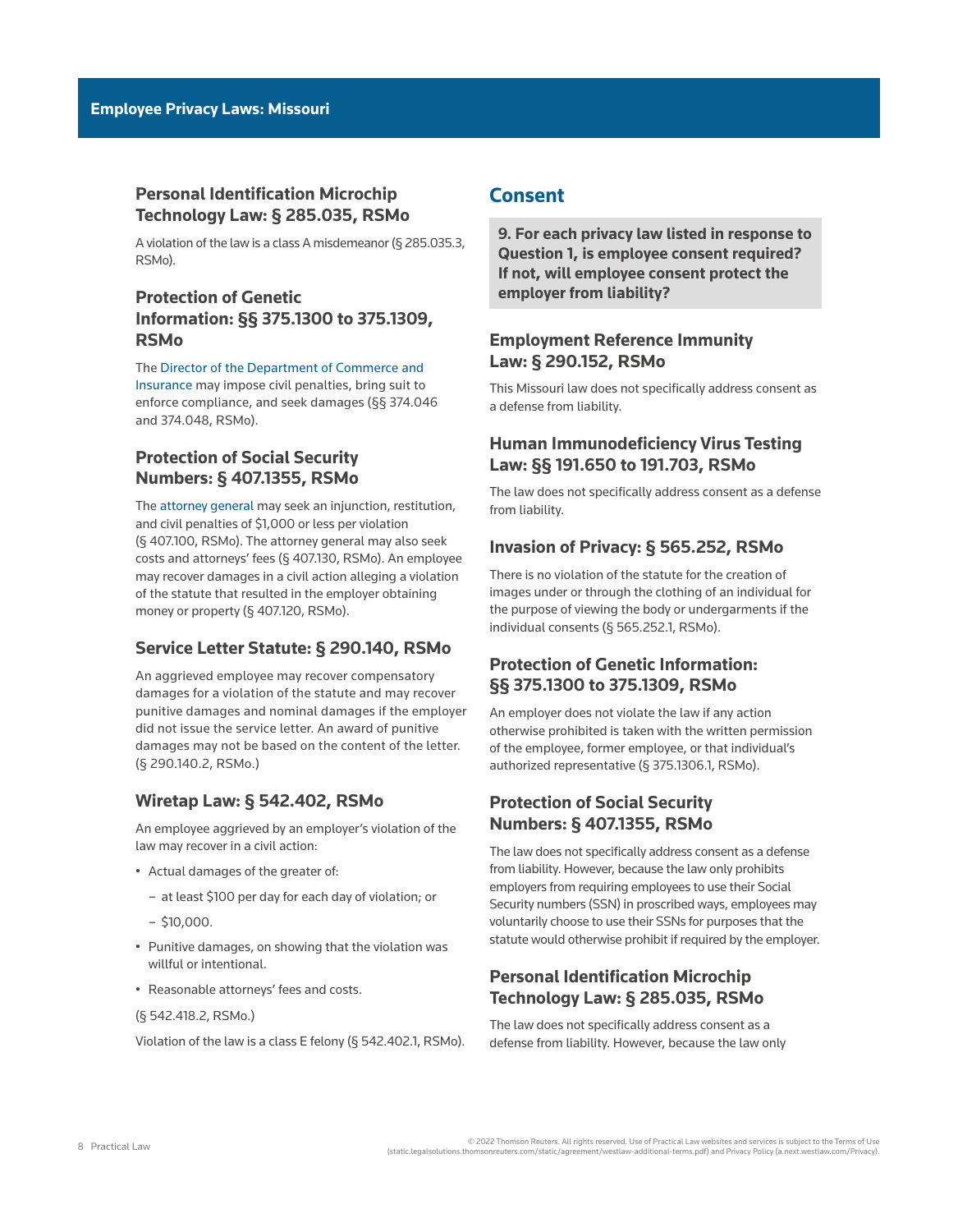# **Personal Identification Microchip Technology Law: § 285.035, RSMo**

A violation of the law is a class A misdemeanor ([§ 285.035.3,](http://www.westlaw.com/Link/Document/FullText?findType=L&pubNum=1000229&cite=MOST285.035&originatingDoc=I907246edb1ce11ec9f24ec7b211d8087&refType=LQ&originationContext=document&vr=3.0&rs=cblt1.0&transitionType=PLDocumentLink&billingHash=B527A9A2ADBAD8C418217E40B9A6378D9721720BF37535541C01F282367FEF7A&contextData=(sc.Default))  [RSMo\)](http://www.westlaw.com/Link/Document/FullText?findType=L&pubNum=1000229&cite=MOST285.035&originatingDoc=I907246edb1ce11ec9f24ec7b211d8087&refType=LQ&originationContext=document&vr=3.0&rs=cblt1.0&transitionType=PLDocumentLink&billingHash=B527A9A2ADBAD8C418217E40B9A6378D9721720BF37535541C01F282367FEF7A&contextData=(sc.Default)).

# **Protection of Genetic Information: §§ 375.1300 to 375.1309, RSMo**

The [Director of the Department of Commerce and](https://dci.mo.gov/director.php)  [Insurance](https://dci.mo.gov/director.php) may impose civil penalties, bring suit to enforce compliance, and seek damages [\(§§ 374.046](http://www.westlaw.com/Link/Document/FullText?findType=L&pubNum=1000229&cite=MOST374.046&originatingDoc=I907246edb1ce11ec9f24ec7b211d8087&refType=LQ&originationContext=document&vr=3.0&rs=cblt1.0&transitionType=PLDocumentLink&billingHash=6B2CB7FE17D7B623A959DC870CE0F3BED9D216AA651ADC09A03E854EE99D2F59&contextData=(sc.Default))  and [374.048, RSMo\)](http://www.westlaw.com/Link/Document/FullText?findType=L&pubNum=1000229&cite=MOST374.048&originatingDoc=I907246edb1ce11ec9f24ec7b211d8087&refType=LQ&originationContext=document&vr=3.0&rs=cblt1.0&transitionType=PLDocumentLink&billingHash=047F728C532E4304127DBE4317F91D8D85C326D7F2AE4149FF5228D4E1EEE67F&contextData=(sc.Default)).

# **Protection of Social Security Numbers: § 407.1355, RSMo**

The [attorney general](https://ago.mo.gov/) may seek an injunction, restitution, and civil penalties of \$1,000 or less per violation ([§ 407.100, RSMo\)](http://www.westlaw.com/Link/Document/FullText?findType=L&pubNum=1000229&cite=MOST407.100&originatingDoc=I907246edb1ce11ec9f24ec7b211d8087&refType=LQ&originationContext=document&vr=3.0&rs=cblt1.0&transitionType=PLDocumentLink&billingHash=34948321A54D92AAB0DAD506BFC8C4B4069144D8CCB569A42275D231516AA301&contextData=(sc.Default)). The attorney general may also seek costs and attorneys' fees ([§ 407.130, RSMo\)](http://www.westlaw.com/Link/Document/FullText?findType=L&pubNum=1000229&cite=MOST407.130&originatingDoc=I907246edb1ce11ec9f24ec7b211d8087&refType=LQ&originationContext=document&vr=3.0&rs=cblt1.0&transitionType=PLDocumentLink&billingHash=1C42547C03720398508A095E2DFFC842B0FE222DD3731F48D41D7AA5080F8316&contextData=(sc.Default)). An employee may recover damages in a civil action alleging a violation of the statute that resulted in the employer obtaining money or property [\(§ 407.120, RSMo\)](http://www.westlaw.com/Link/Document/FullText?findType=L&pubNum=1000229&cite=MOST407.120&originatingDoc=I907246edb1ce11ec9f24ec7b211d8087&refType=LQ&originationContext=document&vr=3.0&rs=cblt1.0&transitionType=PLDocumentLink&billingHash=BA0873B18C6BF3A4108B940A2BB2416232AD8DC0D8BBCC70E5F9388D3E012977&contextData=(sc.Default)).

## **Service Letter Statute: § 290.140, RSMo**

An aggrieved employee may recover compensatory damages for a violation of the statute and may recover [punitive damages](http://www.westlaw.com/Document/I0f9fe543ef0811e28578f7ccc38dcbee/View/FullText.html?originationContext=document&vr=3.0&rs=cblt1.0&transitionType=DocumentItem&contextData=(sc.Default)) and nominal damages if the employer did not issue the service letter. An award of punitive damages may not be based on the content of the letter. ([§ 290.140.2, RSMo](http://www.westlaw.com/Link/Document/FullText?findType=L&pubNum=1000229&cite=MOST290.140&originatingDoc=I907246edb1ce11ec9f24ec7b211d8087&refType=LQ&originationContext=document&vr=3.0&rs=cblt1.0&transitionType=PLDocumentLink&billingHash=4310846A790545EC30246ABDEE378370413192F67ED8D58A934CD31EAFFBDFBB&contextData=(sc.Default)).)

# **Wiretap Law: § 542.402, RSMo**

An employee aggrieved by an employer's violation of the law may recover in a civil action:

- Actual damages of the greater of:
	- at least \$100 per day for each day of violation; or
- $-$ \$10,000.
- Punitive damages, on showing that the violation was willful or intentional.
- Reasonable attorneys' fees and costs.

### ([§ 542.418.2, RSMo.](http://www.westlaw.com/Link/Document/FullText?findType=L&pubNum=1000229&cite=MOST542.418&originatingDoc=I907246edb1ce11ec9f24ec7b211d8087&refType=LQ&originationContext=document&vr=3.0&rs=cblt1.0&transitionType=PLDocumentLink&billingHash=2597908A3415ED507C421CE66AF94FDABB641ED8DBCF17F6DFE28074BCBBD4EF&contextData=(sc.Default)))

Violation of the law is a class E felony ([§ 542.402.1, RSMo\)](http://www.westlaw.com/Link/Document/FullText?findType=L&pubNum=1000229&cite=MOST542.402&originatingDoc=I907246edb1ce11ec9f24ec7b211d8087&refType=LQ&originationContext=document&vr=3.0&rs=cblt1.0&transitionType=PLDocumentLink&billingHash=A366DA72EE93F8E8CE200CD46827B12BCD5E569B498089BD7F4DB328CDBBD372&contextData=(sc.Default)).

# **Consent**

**9. For each privacy law listed in response to Question 1, is employee consent required? If not, will employee consent protect the employer from liability?**

# **Employment Reference Immunity Law: § 290.152, RSMo**

This Missouri law does not specifically address consent as a defense from liability.

## **Human Immunodeficiency Virus Testing Law: §§ 191.650 to 191.703, RSMo**

The law does not specifically address consent as a defense from liability.

## **Invasion of Privacy: § 565.252, RSMo**

There is no violation of the statute for the creation of images under or through the clothing of an individual for the purpose of viewing the body or undergarments if the individual consents [\(§ 565.252.1, RSMo\)](http://www.westlaw.com/Link/Document/FullText?findType=L&pubNum=1000229&cite=MOST565.252&originatingDoc=I907246edb1ce11ec9f24ec7b211d8087&refType=LQ&originationContext=document&vr=3.0&rs=cblt1.0&transitionType=PLDocumentLink&billingHash=E599103D7A6554929390FA89B7786AD16C19557143315BA4A7241001FEF380A4&contextData=(sc.Default)).

# **Protection of Genetic Information: §§ 375.1300 to 375.1309, RSMo**

An employer does not violate the law if any action otherwise prohibited is taken with the written permission of the employee, former employee, or that individual's authorized representative [\(§ 375.1306.1, RSMo](http://www.westlaw.com/Link/Document/FullText?findType=L&pubNum=1000229&cite=MOST375.1306&originatingDoc=I907246edb1ce11ec9f24ec7b211d8087&refType=LQ&originationContext=document&vr=3.0&rs=cblt1.0&transitionType=PLDocumentLink&billingHash=AA25E6F4229ABFD855BED5CAF4272781B2A486868304D82AB88D370B8E3F3301&contextData=(sc.Default))).

# **Protection of Social Security Numbers: § 407.1355, RSMo**

The law does not specifically address consent as a defense from liability. However, because the law only prohibits employers from requiring employees to use their Social Security numbers (SSN) in proscribed ways, employees may voluntarily choose to use their SSNs for purposes that the statute would otherwise prohibit if required by the employer.

# **Personal Identification Microchip Technology Law: § 285.035, RSMo**

The law does not specifically address consent as a defense from liability. However, because the law only

<sup>2022</sup> Thomson Reuters. All rights reserved. Use of Practical Law websites and services is subject to the Terms of Use<br>(static.legalsolutions.thomsonreuters.com/static/agreement/westlaw-additional-terms.pdf) and Privacy Poli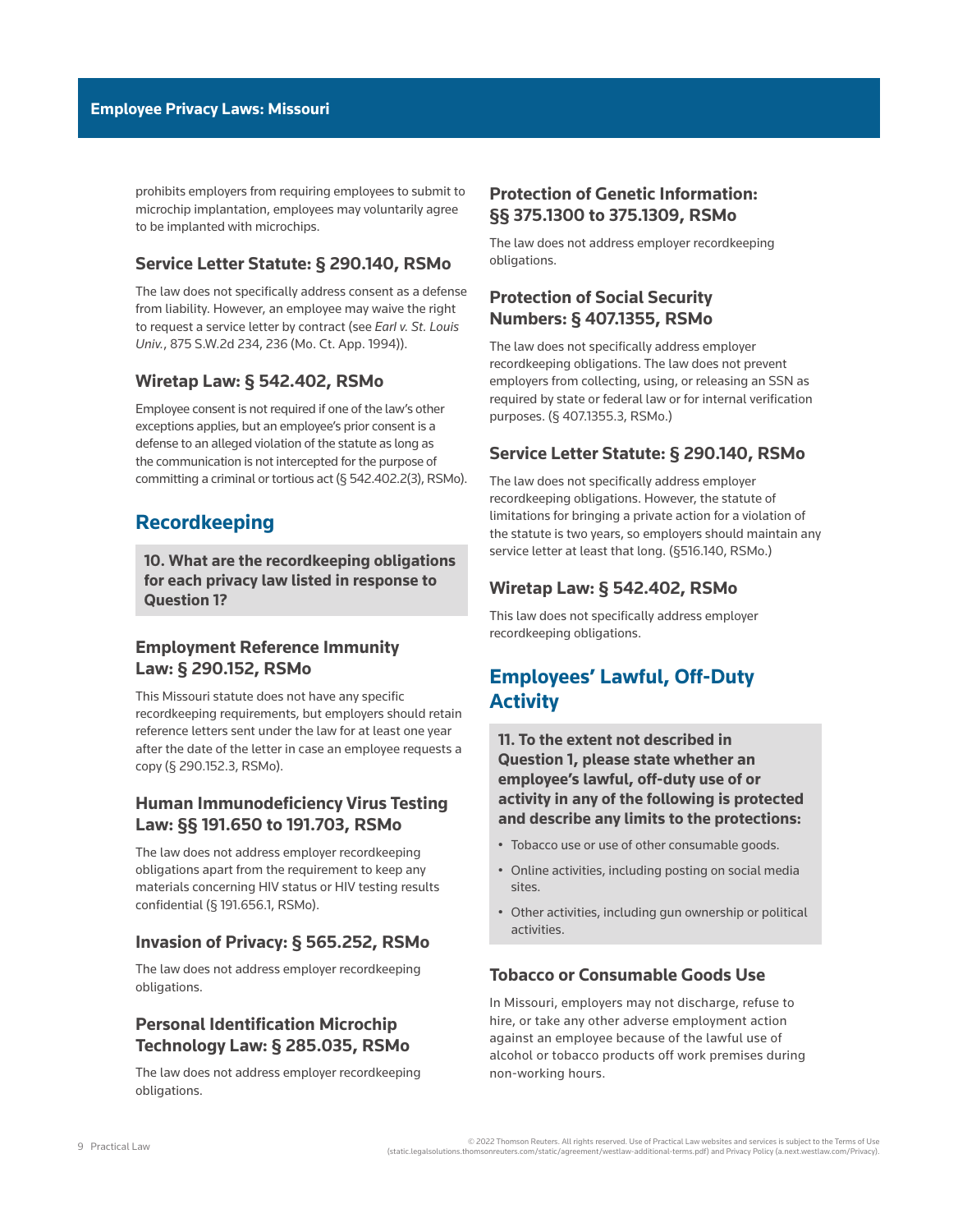prohibits employers from requiring employees to submit to microchip implantation, employees may voluntarily agree to be implanted with microchips.

## **Service Letter Statute: § 290.140, RSMo**

The law does not specifically address consent as a defense from liability. However, an employee may waive the right to request a service letter by contract (see *[Earl v. St. Louis](http://www.westlaw.com/Link/Document/FullText?findType=Y&serNum=1994099178&pubNum=0000713&originatingDoc=I907246edb1ce11ec9f24ec7b211d8087&refType=RP&fi=co_pp_sp_713_236&originationContext=document&vr=3.0&rs=cblt1.0&transitionType=PLDocumentLink&billingHash=52A2EFFC256576FE431BD44BA6A5A0D17F97E003444D3766F5DFF597E8E3E08B&contextData=(sc.Default)#co_pp_sp_713_236)  Univ.*[, 875 S.W.2d 234, 236 \(Mo. Ct. App. 1994\)\)](http://www.westlaw.com/Link/Document/FullText?findType=Y&serNum=1994099178&pubNum=0000713&originatingDoc=I907246edb1ce11ec9f24ec7b211d8087&refType=RP&fi=co_pp_sp_713_236&originationContext=document&vr=3.0&rs=cblt1.0&transitionType=PLDocumentLink&billingHash=52A2EFFC256576FE431BD44BA6A5A0D17F97E003444D3766F5DFF597E8E3E08B&contextData=(sc.Default)#co_pp_sp_713_236).

## **Wiretap Law: § 542.402, RSMo**

Employee consent is not required if one of the law's other exceptions applies, but an employee's prior consent is a defense to an alleged violation of the statute as long as the communication is not intercepted for the purpose of committing a criminal or tortious act [\(§ 542.402.2\(3\), RSMo](http://www.westlaw.com/Link/Document/FullText?findType=L&pubNum=1000229&cite=MOST542.402&originatingDoc=I907246edb1ce11ec9f24ec7b211d8087&refType=LQ&originationContext=document&vr=3.0&rs=cblt1.0&transitionType=PLDocumentLink&billingHash=A366DA72EE93F8E8CE200CD46827B12BCD5E569B498089BD7F4DB328CDBBD372&contextData=(sc.Default))).

# **Recordkeeping**

**10. What are the recordkeeping obligations for each privacy law listed in response to Question 1?**

## **Employment Reference Immunity Law: § 290.152, RSMo**

This Missouri statute does not have any specific recordkeeping requirements, but employers should retain reference letters sent under the law for at least one year after the date of the letter in case an employee requests a copy ([§ 290.152.3, RSMo](http://www.westlaw.com/Link/Document/FullText?findType=L&pubNum=1000229&cite=MOST290.152&originatingDoc=I907246edb1ce11ec9f24ec7b211d8087&refType=LQ&originationContext=document&vr=3.0&rs=cblt1.0&transitionType=PLDocumentLink&billingHash=09898F40EE3342C798FCA78A5794E1CFD756128AA9D7AB3B5FFED4FA7F9A2447&contextData=(sc.Default))).

## **Human Immunodeficiency Virus Testing Law: §§ 191.650 to 191.703, RSMo**

The law does not address employer recordkeeping obligations apart from the requirement to keep any materials concerning HIV status or HIV testing results confidential [\(§ 191.656.1, RSMo](http://www.westlaw.com/Link/Document/FullText?findType=L&pubNum=1000229&cite=MOST191.656&originatingDoc=I907246edb1ce11ec9f24ec7b211d8087&refType=LQ&originationContext=document&vr=3.0&rs=cblt1.0&transitionType=PLDocumentLink&billingHash=7C2804BC6332E418144A984156E82080EC46A9798FA0F49816244A08A4577D9C&contextData=(sc.Default))).

### **Invasion of Privacy: § 565.252, RSMo**

The law does not address employer recordkeeping obligations.

# **Personal Identification Microchip Technology Law: § 285.035, RSMo**

The law does not address employer recordkeeping obligations.

# **Protection of Genetic Information: §§ 375.1300 to 375.1309, RSMo**

The law does not address employer recordkeeping obligations.

## **Protection of Social Security Numbers: § 407.1355, RSMo**

The law does not specifically address employer recordkeeping obligations. The law does not prevent employers from collecting, using, or releasing an SSN as required by state or federal law or for internal verification purposes. ([§ 407.1355.3, RSMo.](http://www.westlaw.com/Link/Document/FullText?findType=L&pubNum=1000229&cite=MOST407.1355&originatingDoc=I907246edb1ce11ec9f24ec7b211d8087&refType=LQ&originationContext=document&vr=3.0&rs=cblt1.0&transitionType=PLDocumentLink&billingHash=C548DCC7B53B55488F9198FD3D30BBDB87EE65DFCB9F2C3C1BAC1B2A4994C168&contextData=(sc.Default)))

## **Service Letter Statute: § 290.140, RSMo**

The law does not specifically address employer recordkeeping obligations. However, the statute of limitations for bringing a private action for a violation of the statute is two years, so employers should maintain any service letter at least that long. [\(§516.140, RSMo](http://www.westlaw.com/Link/Document/FullText?findType=L&pubNum=1000229&cite=MOST516.140&originatingDoc=I907246edb1ce11ec9f24ec7b211d8087&refType=LQ&originationContext=document&vr=3.0&rs=cblt1.0&transitionType=PLDocumentLink&billingHash=95E2DAFC23E8E8529BEB00661B430CFF65C9B7457DD0F65669DC64351E0B228B&contextData=(sc.Default)).)

## **Wiretap Law: § 542.402, RSMo**

This law does not specifically address employer recordkeeping obligations.

# **Employees' Lawful, Off-Duty Activity**

**11. To the extent not described in Question 1, please state whether an employee's lawful, off-duty use of or activity in any of the following is protected and describe any limits to the protections:**

- Tobacco use or use of other consumable goods.
- Online activities, including posting on social media sites.
- Other activities, including gun ownership or political activities.

## **Tobacco or Consumable Goods Use**

In Missouri, employers may not discharge, refuse to hire, or take any other adverse employment action against an employee because of the lawful use of alcohol or tobacco products off work premises during non-working hours.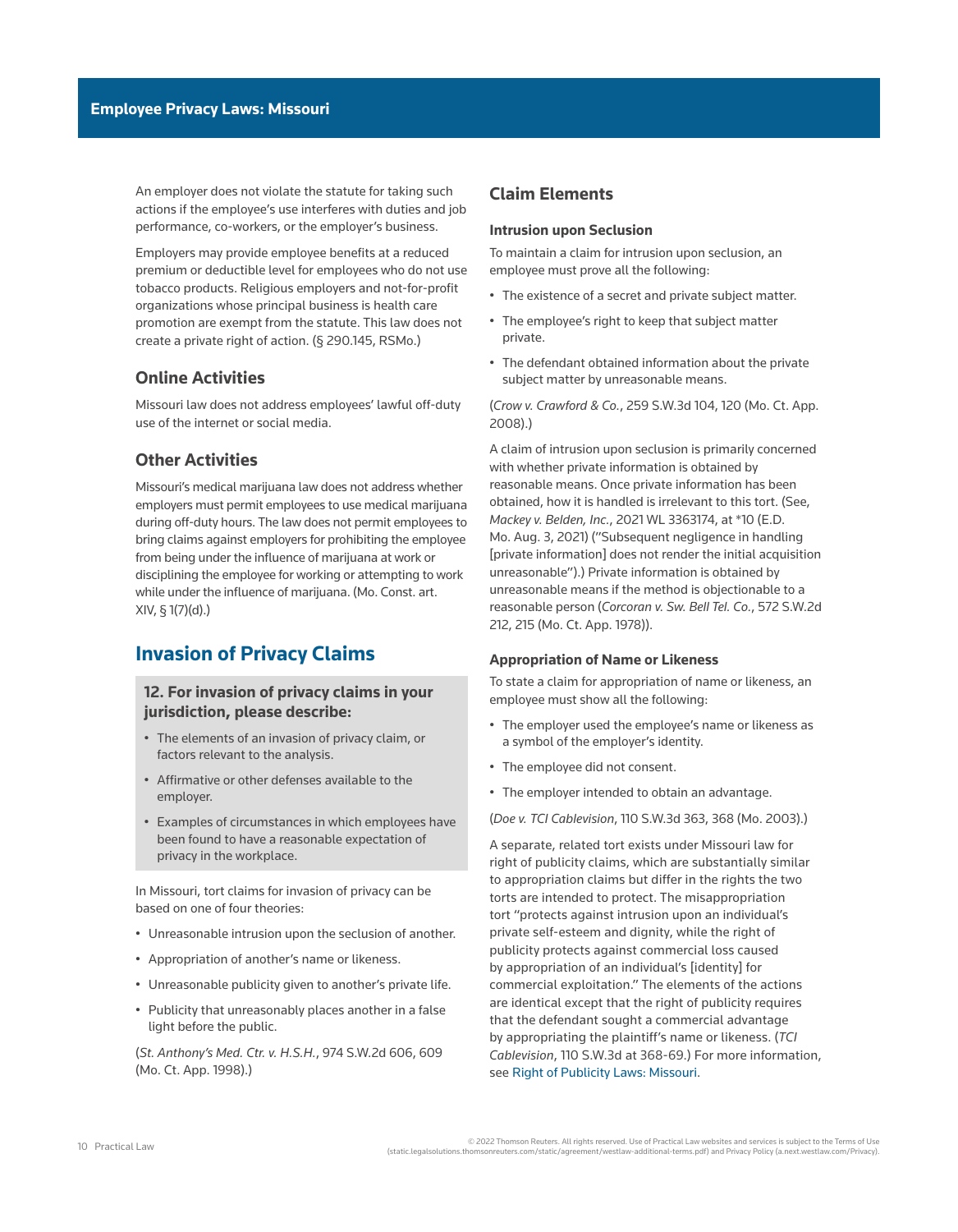An employer does not violate the statute for taking such actions if the employee's use interferes with duties and job performance, co-workers, or the employer's business.

Employers may provide employee benefits at a reduced premium or deductible level for employees who do not use tobacco products. Religious employers and not-for-profit organizations whose principal business is health care promotion are exempt from the statute. This law does not create a private right of action. ([§ 290.145, RSMo.](http://www.westlaw.com/Link/Document/FullText?findType=L&pubNum=1000229&cite=MOST290.145&originatingDoc=I907246edb1ce11ec9f24ec7b211d8087&refType=LQ&originationContext=document&vr=3.0&rs=cblt1.0&transitionType=PLDocumentLink&billingHash=CD7FD0D3521CE4CD8B946C69BDA363123253F66C3FFBBFEE9CB4FF0A49E1AD8F&contextData=(sc.Default)))

## **Online Activities**

Missouri law does not address employees' lawful off-duty use of the internet or social media.

## **Other Activities**

Missouri's medical marijuana law does not address whether employers must permit employees to use medical marijuana during off-duty hours. The law does not permit employees to bring claims against employers for prohibiting the employee from being under the influence of marijuana at work or disciplining the employee for working or attempting to work while under the influence of marijuana. ([Mo. Const. art.](http://www.westlaw.com/Link/Document/FullText?findType=L&pubNum=1000242&cite=MOCNART14S1&originatingDoc=I907246edb1ce11ec9f24ec7b211d8087&refType=LQ&originationContext=document&vr=3.0&rs=cblt1.0&transitionType=PLDocumentLink&billingHash=97936C0B86531765A441C619DD4FC7B0C95AD62AA271E445FD77BF6F173A421D&contextData=(sc.Default))  [XIV, § 1](http://www.westlaw.com/Link/Document/FullText?findType=L&pubNum=1000242&cite=MOCNART14S1&originatingDoc=I907246edb1ce11ec9f24ec7b211d8087&refType=LQ&originationContext=document&vr=3.0&rs=cblt1.0&transitionType=PLDocumentLink&billingHash=97936C0B86531765A441C619DD4FC7B0C95AD62AA271E445FD77BF6F173A421D&contextData=(sc.Default))(7)(d).)

# **Invasion of Privacy Claims**

## **12. For invasion of privacy claims in your jurisdiction, please describe:**

- The elements of an invasion of privacy claim, or factors relevant to the analysis.
- Affirmative or other defenses available to the employer.
- Examples of circumstances in which employees have been found to have a reasonable expectation of privacy in the workplace.

In Missouri, tort claims for invasion of privacy can be based on one of four theories:

- Unreasonable intrusion upon the seclusion of another.
- Appropriation of another's name or likeness.
- Unreasonable publicity given to another's private life.
- Publicity that unreasonably places another in a false light before the public.

(*[St. Anthony's Med. Ctr. v. H.S.H.](http://www.westlaw.com/Link/Document/FullText?findType=Y&serNum=1998135153&pubNum=0000713&originatingDoc=I907246edb1ce11ec9f24ec7b211d8087&refType=RP&fi=co_pp_sp_713_609&originationContext=document&vr=3.0&rs=cblt1.0&transitionType=PLDocumentLink&billingHash=3BD3FE1BAA0F4D11B345AC265CB8F59C3CA402A73CBF11F1ADA202484EC82A26&contextData=(sc.Default)#co_pp_sp_713_609)*, 974 S.W.2d 606, 609 [\(Mo. Ct. App. 1998\).](http://www.westlaw.com/Link/Document/FullText?findType=Y&serNum=1998135153&pubNum=0000713&originatingDoc=I907246edb1ce11ec9f24ec7b211d8087&refType=RP&fi=co_pp_sp_713_609&originationContext=document&vr=3.0&rs=cblt1.0&transitionType=PLDocumentLink&billingHash=3BD3FE1BAA0F4D11B345AC265CB8F59C3CA402A73CBF11F1ADA202484EC82A26&contextData=(sc.Default)#co_pp_sp_713_609))

## **Claim Elements**

### **Intrusion upon Seclusion**

To maintain a claim for intrusion upon seclusion, an employee must prove all the following:

- The existence of a secret and private subject matter.
- The employee's right to keep that subject matter private.
- The defendant obtained information about the private subject matter by unreasonable means.

(*Crow v. Crawford & Co.*[, 259 S.W.3d 104, 120 \(Mo. Ct. App.](http://www.westlaw.com/Link/Document/FullText?findType=Y&serNum=2016095763&pubNum=0004644&originatingDoc=I907246edb1ce11ec9f24ec7b211d8087&refType=RP&fi=co_pp_sp_4644_120&originationContext=document&vr=3.0&rs=cblt1.0&transitionType=PLDocumentLink&billingHash=85D78A7EDCECFB64F00872FE4CD5C5CF98984CF611A4039661F320B24DBB105F&contextData=(sc.Default)#co_pp_sp_4644_120)  [2008\).](http://www.westlaw.com/Link/Document/FullText?findType=Y&serNum=2016095763&pubNum=0004644&originatingDoc=I907246edb1ce11ec9f24ec7b211d8087&refType=RP&fi=co_pp_sp_4644_120&originationContext=document&vr=3.0&rs=cblt1.0&transitionType=PLDocumentLink&billingHash=85D78A7EDCECFB64F00872FE4CD5C5CF98984CF611A4039661F320B24DBB105F&contextData=(sc.Default)#co_pp_sp_4644_120))

A claim of intrusion upon seclusion is primarily concerned with whether private information is obtained by reasonable means. Once private information has been obtained, how it is handled is irrelevant to this tort. (See, *Mackey v. Belden, Inc.*[, 2021 WL 3363174, at \\*10 \(E.D.](http://www.westlaw.com/Link/Document/FullText?findType=Y&serNum=2054232883&pubNum=0000999&originatingDoc=I907246edb1ce11ec9f24ec7b211d8087&refType=RP&fi=co_pp_sp_999_10&originationContext=document&vr=3.0&rs=cblt1.0&transitionType=PLDocumentLink&billingHash=3ED51899937051641B33B78AB5E6EF040D77465B5AEDF309331BB55B27B7E4ED&contextData=(sc.Default)#co_pp_sp_999_10)  [Mo. Aug. 3, 2021\)](http://www.westlaw.com/Link/Document/FullText?findType=Y&serNum=2054232883&pubNum=0000999&originatingDoc=I907246edb1ce11ec9f24ec7b211d8087&refType=RP&fi=co_pp_sp_999_10&originationContext=document&vr=3.0&rs=cblt1.0&transitionType=PLDocumentLink&billingHash=3ED51899937051641B33B78AB5E6EF040D77465B5AEDF309331BB55B27B7E4ED&contextData=(sc.Default)#co_pp_sp_999_10) ("Subsequent negligence in handling [private information] does not render the initial acquisition unreasonable").) Private information is obtained by unreasonable means if the method is objectionable to a reasonable person (*[Corcoran v. Sw. Bell Tel. Co.](http://www.westlaw.com/Link/Document/FullText?findType=Y&serNum=1978135552&pubNum=0000713&originatingDoc=I907246edb1ce11ec9f24ec7b211d8087&refType=RP&fi=co_pp_sp_713_215&originationContext=document&vr=3.0&rs=cblt1.0&transitionType=PLDocumentLink&billingHash=B41B50C97A007123BEDB9339F43772CD0FA52995620673E77C93380E62DCDB55&contextData=(sc.Default)#co_pp_sp_713_215)*, 572 S.W.2d [212, 215 \(Mo. Ct. App. 1978\)](http://www.westlaw.com/Link/Document/FullText?findType=Y&serNum=1978135552&pubNum=0000713&originatingDoc=I907246edb1ce11ec9f24ec7b211d8087&refType=RP&fi=co_pp_sp_713_215&originationContext=document&vr=3.0&rs=cblt1.0&transitionType=PLDocumentLink&billingHash=B41B50C97A007123BEDB9339F43772CD0FA52995620673E77C93380E62DCDB55&contextData=(sc.Default)#co_pp_sp_713_215)).

### **Appropriation of Name or Likeness**

To state a claim for appropriation of name or likeness, an employee must show all the following:

- The employer used the employee's name or likeness as a symbol of the employer's identity.
- The employee did not consent.
- The employer intended to obtain an advantage.

(*Doe v. TCI Cablevision*[, 110 S.W.3d 363, 368 \(Mo. 2003\).](http://www.westlaw.com/Link/Document/FullText?findType=Y&serNum=2003537288&pubNum=0004644&originatingDoc=I907246edb1ce11ec9f24ec7b211d8087&refType=RP&fi=co_pp_sp_4644_368&originationContext=document&vr=3.0&rs=cblt1.0&transitionType=PLDocumentLink&billingHash=776D5AB838514CE98B064BA79D66CFA9EDFD11254CFA504B508D0B21D9BBE533&contextData=(sc.Default)#co_pp_sp_4644_368))

A separate, related tort exists under Missouri law for right of publicity claims, which are substantially similar to appropriation claims but differ in the rights the two torts are intended to protect. The misappropriation tort "protects against intrusion upon an individual's private self-esteem and dignity, while the right of publicity protects against commercial loss caused by appropriation of an individual's [identity] for commercial exploitation." The elements of the actions are identical except that the right of publicity requires that the defendant sought a commercial advantage by appropriating the plaintiff's name or likeness. (*[TCI](http://www.westlaw.com/Link/Document/FullText?findType=Y&serNum=2003537288&pubNum=0004644&originatingDoc=I907246edb1ce11ec9f24ec7b211d8087&refType=RP&fi=co_pp_sp_4644_368&originationContext=document&vr=3.0&rs=cblt1.0&transitionType=PLDocumentLink&billingHash=776D5AB838514CE98B064BA79D66CFA9EDFD11254CFA504B508D0B21D9BBE533&contextData=(sc.Default)#co_pp_sp_4644_368)  Cablevision*[, 110 S.W.3d at 368-69](http://www.westlaw.com/Link/Document/FullText?findType=Y&serNum=2003537288&pubNum=0004644&originatingDoc=I907246edb1ce11ec9f24ec7b211d8087&refType=RP&fi=co_pp_sp_4644_368&originationContext=document&vr=3.0&rs=cblt1.0&transitionType=PLDocumentLink&billingHash=776D5AB838514CE98B064BA79D66CFA9EDFD11254CFA504B508D0B21D9BBE533&contextData=(sc.Default)#co_pp_sp_4644_368).) For more information, see [Right of Publicity Laws: Missouri.](http://us.practicallaw.tr.com/4-519-9003)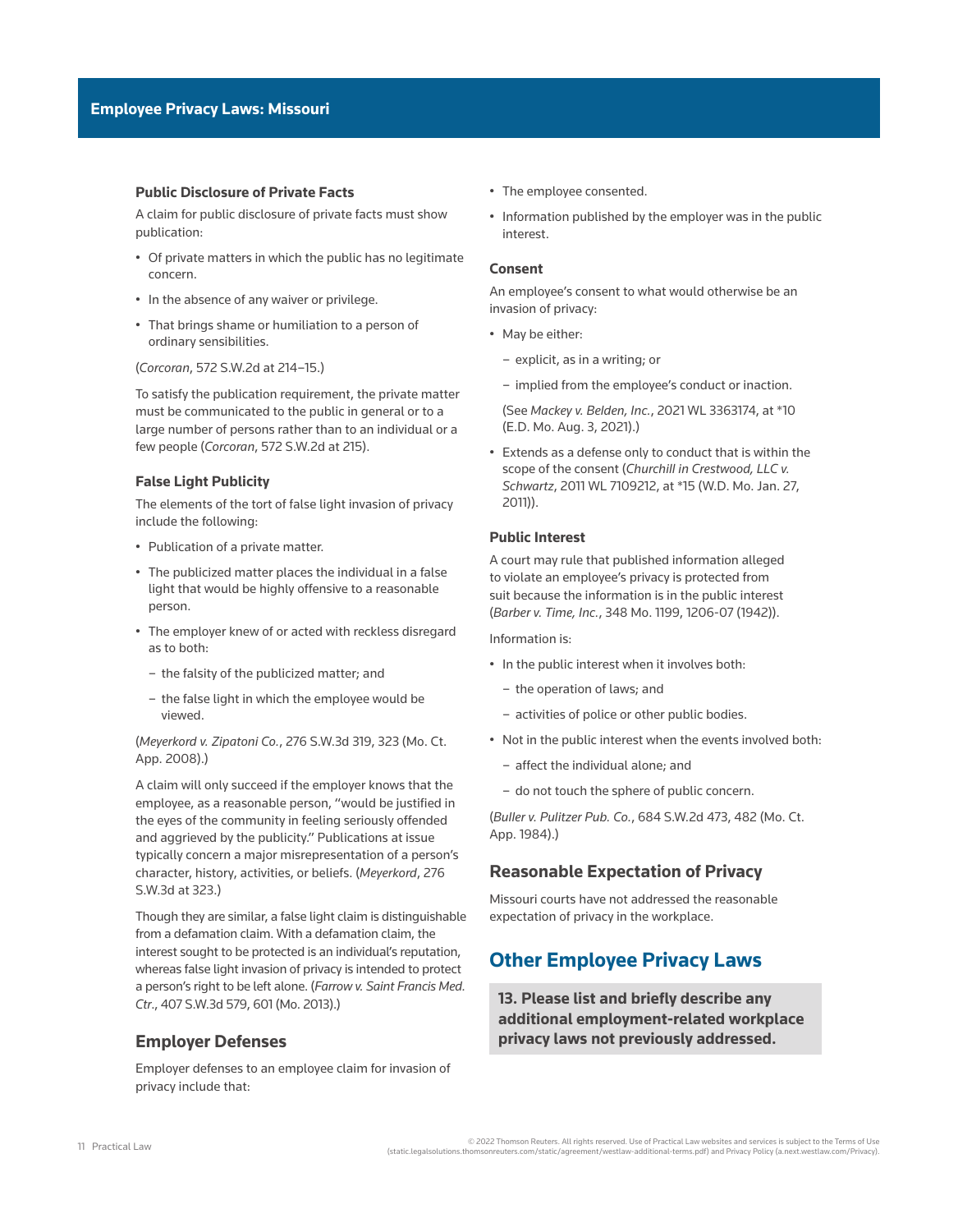### **Public Disclosure of Private Facts**

A claim for public disclosure of private facts must show publication:

- Of private matters in which the public has no legitimate concern.
- In the absence of any waiver or privilege.
- That brings shame or humiliation to a person of ordinary sensibilities.

(*Corcoran*[, 572 S.W.2d at 214–15](http://www.westlaw.com/Link/Document/FullText?findType=Y&serNum=1978135552&pubNum=0000713&originatingDoc=I907246edb1ce11ec9f24ec7b211d8087&refType=RP&fi=co_pp_sp_713_214&originationContext=document&vr=3.0&rs=cblt1.0&transitionType=PLDocumentLink&billingHash=B41B50C97A007123BEDB9339F43772CD0FA52995620673E77C93380E62DCDB55&contextData=(sc.Default)#co_pp_sp_713_214).)

To satisfy the publication requirement, the private matter must be communicated to the public in general or to a large number of persons rather than to an individual or a few people (*Corcoran*[, 572 S.W.2d at 215](http://www.westlaw.com/Link/Document/FullText?findType=Y&serNum=1978135552&pubNum=0000713&originatingDoc=I907246edb1ce11ec9f24ec7b211d8087&refType=RP&fi=co_pp_sp_713_215&originationContext=document&vr=3.0&rs=cblt1.0&transitionType=PLDocumentLink&billingHash=B41B50C97A007123BEDB9339F43772CD0FA52995620673E77C93380E62DCDB55&contextData=(sc.Default)#co_pp_sp_713_215)).

### **False Light Publicity**

The elements of the tort of false light invasion of privacy include the following:

- Publication of a private matter.
- The publicized matter places the individual in a false light that would be highly offensive to a reasonable person.
- The employer knew of or acted with reckless disregard as to both:
	- the falsity of the publicized matter; and
	- the false light in which the employee would be viewed.

(*Meyerkord v. Zipatoni Co.*[, 276 S.W.3d 319, 323 \(Mo. Ct.](http://www.westlaw.com/Link/Document/FullText?findType=Y&serNum=2017836189&pubNum=0004644&originatingDoc=I907246edb1ce11ec9f24ec7b211d8087&refType=RP&fi=co_pp_sp_4644_323&originationContext=document&vr=3.0&rs=cblt1.0&transitionType=PLDocumentLink&billingHash=AFF2A5DA1E4966E06648D772AFF62BFF70EC15F3927C9C1D495A7D4E6D242019&contextData=(sc.Default)#co_pp_sp_4644_323)  [App. 2008\)](http://www.westlaw.com/Link/Document/FullText?findType=Y&serNum=2017836189&pubNum=0004644&originatingDoc=I907246edb1ce11ec9f24ec7b211d8087&refType=RP&fi=co_pp_sp_4644_323&originationContext=document&vr=3.0&rs=cblt1.0&transitionType=PLDocumentLink&billingHash=AFF2A5DA1E4966E06648D772AFF62BFF70EC15F3927C9C1D495A7D4E6D242019&contextData=(sc.Default)#co_pp_sp_4644_323).)

A claim will only succeed if the employer knows that the employee, as a reasonable person, "would be justified in the eyes of the community in feeling seriously offended and aggrieved by the publicity." Publications at issue typically concern a major misrepresentation of a person's character, history, activities, or beliefs. (*[Meyerkord](http://www.westlaw.com/Link/Document/FullText?findType=Y&serNum=2017836189&pubNum=0004644&originatingDoc=I907246edb1ce11ec9f24ec7b211d8087&refType=RP&fi=co_pp_sp_4644_323&originationContext=document&vr=3.0&rs=cblt1.0&transitionType=PLDocumentLink&billingHash=AFF2A5DA1E4966E06648D772AFF62BFF70EC15F3927C9C1D495A7D4E6D242019&contextData=(sc.Default)#co_pp_sp_4644_323)*, 276 [S.W.3d at 323](http://www.westlaw.com/Link/Document/FullText?findType=Y&serNum=2017836189&pubNum=0004644&originatingDoc=I907246edb1ce11ec9f24ec7b211d8087&refType=RP&fi=co_pp_sp_4644_323&originationContext=document&vr=3.0&rs=cblt1.0&transitionType=PLDocumentLink&billingHash=AFF2A5DA1E4966E06648D772AFF62BFF70EC15F3927C9C1D495A7D4E6D242019&contextData=(sc.Default)#co_pp_sp_4644_323).)

Though they are similar, a false light claim is distinguishable from a [defamation](http://www.westlaw.com/Document/I2ef12b941ed511e38578f7ccc38dcbee/View/FullText.html?originationContext=document&vr=3.0&rs=cblt1.0&transitionType=DocumentItem&contextData=(sc.Default)) claim. With a defamation claim, the interest sought to be protected is an individual's reputation, whereas false light invasion of privacy is intended to protect a person's right to be left alone. (*[Farrow v. Saint Francis Med.](http://www.westlaw.com/Link/Document/FullText?findType=Y&serNum=2031360032&pubNum=0004644&originatingDoc=I907246edb1ce11ec9f24ec7b211d8087&refType=RP&fi=co_pp_sp_4644_601&originationContext=document&vr=3.0&rs=cblt1.0&transitionType=PLDocumentLink&billingHash=543863D70CFFAD2BB1F0D7B92AD54F9B0A1E4D0F0D2A4F9C00F95A7EF45E2EDB&contextData=(sc.Default)#co_pp_sp_4644_601)  Ctr*[., 407 S.W.3d 579, 601 \(Mo. 2013\).](http://www.westlaw.com/Link/Document/FullText?findType=Y&serNum=2031360032&pubNum=0004644&originatingDoc=I907246edb1ce11ec9f24ec7b211d8087&refType=RP&fi=co_pp_sp_4644_601&originationContext=document&vr=3.0&rs=cblt1.0&transitionType=PLDocumentLink&billingHash=543863D70CFFAD2BB1F0D7B92AD54F9B0A1E4D0F0D2A4F9C00F95A7EF45E2EDB&contextData=(sc.Default)#co_pp_sp_4644_601))

### **Employer Defenses**

Employer defenses to an employee claim for invasion of privacy include that:

- The employee consented.
- Information published by the employer was in the public interest.

### **Consent**

An employee's consent to what would otherwise be an invasion of privacy:

- May be either:
	- explicit, as in a writing; or
	- implied from the employee's conduct or inaction.

(See *Mackey v. Belden, Inc.*[, 2021 WL 3363174, at \\*10](http://www.westlaw.com/Link/Document/FullText?findType=Y&serNum=2054232883&pubNum=0000999&originatingDoc=I907246edb1ce11ec9f24ec7b211d8087&refType=RP&fi=co_pp_sp_999_10&originationContext=document&vr=3.0&rs=cblt1.0&transitionType=PLDocumentLink&billingHash=3ED51899937051641B33B78AB5E6EF040D77465B5AEDF309331BB55B27B7E4ED&contextData=(sc.Default)#co_pp_sp_999_10)  [\(E.D. Mo. Aug. 3, 2021\)](http://www.westlaw.com/Link/Document/FullText?findType=Y&serNum=2054232883&pubNum=0000999&originatingDoc=I907246edb1ce11ec9f24ec7b211d8087&refType=RP&fi=co_pp_sp_999_10&originationContext=document&vr=3.0&rs=cblt1.0&transitionType=PLDocumentLink&billingHash=3ED51899937051641B33B78AB5E6EF040D77465B5AEDF309331BB55B27B7E4ED&contextData=(sc.Default)#co_pp_sp_999_10).)

• Extends as a defense only to conduct that is within the scope of the consent (*[Churchill in Crestwood, LLC v.](http://www.westlaw.com/Link/Document/FullText?findType=Y&serNum=2026943124&pubNum=0000999&originatingDoc=I907246edb1ce11ec9f24ec7b211d8087&refType=RP&fi=co_pp_sp_999_15&originationContext=document&vr=3.0&rs=cblt1.0&transitionType=PLDocumentLink&billingHash=4734E431AA0F15AD72F275A03AD978C3A8284A1BD2C502A70ACAABE872E4B524&contextData=(sc.Default)#co_pp_sp_999_15)  Schwartz*[, 2011 WL 7109212, at \\*15 \(W.D. Mo. Jan. 27,](http://www.westlaw.com/Link/Document/FullText?findType=Y&serNum=2026943124&pubNum=0000999&originatingDoc=I907246edb1ce11ec9f24ec7b211d8087&refType=RP&fi=co_pp_sp_999_15&originationContext=document&vr=3.0&rs=cblt1.0&transitionType=PLDocumentLink&billingHash=4734E431AA0F15AD72F275A03AD978C3A8284A1BD2C502A70ACAABE872E4B524&contextData=(sc.Default)#co_pp_sp_999_15)  [2011\)](http://www.westlaw.com/Link/Document/FullText?findType=Y&serNum=2026943124&pubNum=0000999&originatingDoc=I907246edb1ce11ec9f24ec7b211d8087&refType=RP&fi=co_pp_sp_999_15&originationContext=document&vr=3.0&rs=cblt1.0&transitionType=PLDocumentLink&billingHash=4734E431AA0F15AD72F275A03AD978C3A8284A1BD2C502A70ACAABE872E4B524&contextData=(sc.Default)#co_pp_sp_999_15)).

### **Public Interest**

A court may rule that published information alleged to violate an employee's privacy is protected from suit because the information is in the public interest (*Barber v. Time, Inc.*[, 348 Mo. 1199, 1206-07 \(1942\)](http://www.westlaw.com/Link/Document/FullText?findType=Y&serNum=1942115224&pubNum=0000555&originatingDoc=I907246edb1ce11ec9f24ec7b211d8087&refType=RP&fi=co_pp_sp_555_1206&originationContext=document&vr=3.0&rs=cblt1.0&transitionType=PLDocumentLink&billingHash=FF355527B88FA8C0A08BF7BF5E9799B5FE1132ADEC187DF25B55055E64849244&contextData=(sc.Default)#co_pp_sp_555_1206)).

Information is:

- In the public interest when it involves both:
	- the operation of laws; and
	- activities of police or other public bodies.
- Not in the public interest when the events involved both:
	- affect the individual alone; and
	- do not touch the sphere of public concern.

(*Buller v. Pulitzer Pub. Co.*[, 684 S.W.2d 473, 482 \(Mo. Ct.](http://www.westlaw.com/Link/Document/FullText?findType=Y&serNum=1985102433&pubNum=0000713&originatingDoc=I907246edb1ce11ec9f24ec7b211d8087&refType=RP&fi=co_pp_sp_713_482&originationContext=document&vr=3.0&rs=cblt1.0&transitionType=PLDocumentLink&billingHash=8F55FE0DD363D549A54DCFE6ED300C1EC90CF83CE5B5236F0D1052F9ADDF0D26&contextData=(sc.Default)#co_pp_sp_713_482)  [App. 1984\)](http://www.westlaw.com/Link/Document/FullText?findType=Y&serNum=1985102433&pubNum=0000713&originatingDoc=I907246edb1ce11ec9f24ec7b211d8087&refType=RP&fi=co_pp_sp_713_482&originationContext=document&vr=3.0&rs=cblt1.0&transitionType=PLDocumentLink&billingHash=8F55FE0DD363D549A54DCFE6ED300C1EC90CF83CE5B5236F0D1052F9ADDF0D26&contextData=(sc.Default)#co_pp_sp_713_482).)

### **Reasonable Expectation of Privacy**

Missouri courts have not addressed the reasonable expectation of privacy in the workplace.

# **Other Employee Privacy Laws**

**13. Please list and briefly describe any additional employment-related workplace privacy laws not previously addressed.**